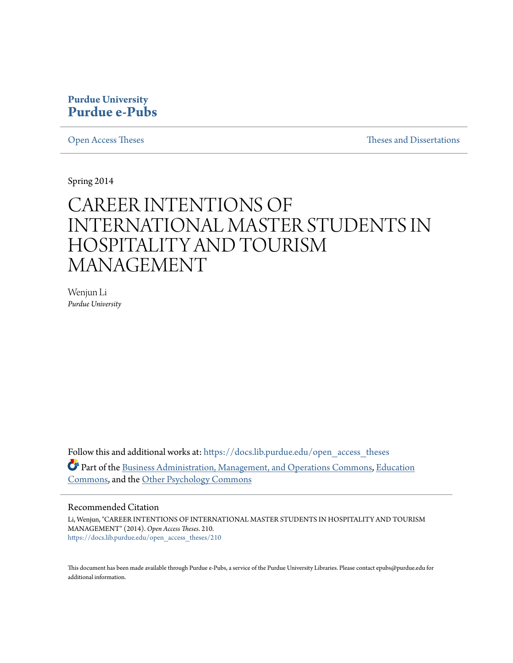## **Purdue University [Purdue e-Pubs](https://docs.lib.purdue.edu?utm_source=docs.lib.purdue.edu%2Fopen_access_theses%2F210&utm_medium=PDF&utm_campaign=PDFCoverPages)**

[Open Access Theses](https://docs.lib.purdue.edu/open_access_theses?utm_source=docs.lib.purdue.edu%2Fopen_access_theses%2F210&utm_medium=PDF&utm_campaign=PDFCoverPages) **Theses** and Dissertations **Theses** and Dissertations

Spring 2014

# CAREER INTENTIONS OF INTERNATIONAL MASTER STUDENTS IN HOSPITALITY AND TOURISM MANAGEMENT

Wenjun Li *Purdue University*

Follow this and additional works at: [https://docs.lib.purdue.edu/open\\_access\\_theses](https://docs.lib.purdue.edu/open_access_theses?utm_source=docs.lib.purdue.edu%2Fopen_access_theses%2F210&utm_medium=PDF&utm_campaign=PDFCoverPages) Part of the [Business Administration, Management, and Operations Commons](http://network.bepress.com/hgg/discipline/623?utm_source=docs.lib.purdue.edu%2Fopen_access_theses%2F210&utm_medium=PDF&utm_campaign=PDFCoverPages), [Education](http://network.bepress.com/hgg/discipline/784?utm_source=docs.lib.purdue.edu%2Fopen_access_theses%2F210&utm_medium=PDF&utm_campaign=PDFCoverPages) [Commons,](http://network.bepress.com/hgg/discipline/784?utm_source=docs.lib.purdue.edu%2Fopen_access_theses%2F210&utm_medium=PDF&utm_campaign=PDFCoverPages) and the [Other Psychology Commons](http://network.bepress.com/hgg/discipline/415?utm_source=docs.lib.purdue.edu%2Fopen_access_theses%2F210&utm_medium=PDF&utm_campaign=PDFCoverPages)

#### Recommended Citation

Li, Wenjun, "CAREER INTENTIONS OF INTERNATIONAL MASTER STUDENTS IN HOSPITALITY AND TOURISM MANAGEMENT" (2014). *Open Access Theses*. 210. [https://docs.lib.purdue.edu/open\\_access\\_theses/210](https://docs.lib.purdue.edu/open_access_theses/210?utm_source=docs.lib.purdue.edu%2Fopen_access_theses%2F210&utm_medium=PDF&utm_campaign=PDFCoverPages)

This document has been made available through Purdue e-Pubs, a service of the Purdue University Libraries. Please contact epubs@purdue.edu for additional information.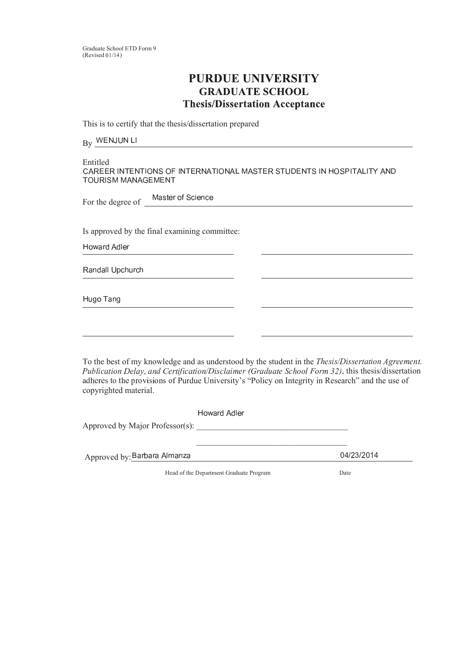Graduate School ETD Form 9  $(Revised 01/14)$ 

## **PURDUE UNIVERSITY GRADUATE SCHOOL Thesis/Dissertation Acceptance**

This is to certify that the thesis/dissertation prepared

| By | <b>WENJUN LI</b> |  |
|----|------------------|--|
|    |                  |  |

Entitled

<sup>N</sup> <sup>O</sup> <sup>P</sup> <sup>H</sup> <sup>H</sup> <sup>P</sup> <sup>M</sup> <sup>I</sup> <sup>Q</sup> <sup>H</sup> <sup>I</sup> <sup>Q</sup> <sup>M</sup> <sup>R</sup> <sup>I</sup> <sup>S</sup> <sup>R</sup> <sup>T</sup> <sup>M</sup> <sup>I</sup> <sup>Q</sup> <sup>H</sup> <sup>P</sup> <sup>I</sup> <sup>O</sup> <sup>Q</sup> <sup>M</sup> <sup>R</sup> <sup>I</sup> <sup>O</sup> <sup>L</sup> <sup>U</sup> <sup>O</sup> <sup>S</sup> <sup>Q</sup> <sup>H</sup> <sup>P</sup> <sup>S</sup> <sup>Q</sup> <sup>K</sup> <sup>V</sup> <sup>H</sup> <sup>I</sup> <sup>Q</sup> <sup>S</sup> <sup>M</sup> <sup>I</sup> <sup>W</sup> <sup>R</sup> <sup>S</sup> <sup>X</sup> <sup>M</sup> <sup>Q</sup> <sup>O</sup> <sup>L</sup> <sup>M</sup> <sup>Q</sup> <sup>Y</sup> <sup>O</sup> <sup>I</sup> <sup>V</sup> <sup>Q</sup> <sup>R</sup> <sup>K</sup> <sup>P</sup> <sup>M</sup> <sup>S</sup> <sup>U</sup> <sup>U</sup> <sup>O</sup> <sup>I</sup> <sup>O</sup> <sup>Z</sup> <sup>H</sup> <sup>U</sup> <sup>H</sup> <sup>I</sup> <sup>Q</sup>

For the degree of Master of Science

Is approved by the final examining committee:

Howard Adle

Product in the first product of the first product of the first product of the first product of the first product of the first product of the first product of the first product of the first product of the first product of t

Hugo Tang

To the best of my knowledge and as understood by the student in the Thesis/Dissertation Agreement Publication Delay, and Certification/Disclaimer (Graduate School Form 32), this thesis/dissertation adheres to the provisions of Purdue University's "Policy on Integrity in Research" and the use of copyrighted material.

|                                 | Howard Adler |            |
|---------------------------------|--------------|------------|
| Approved by Major Professor(s): |              |            |
|                                 |              |            |
| Approved by: Barbara Almanza    |              | 04/23/2014 |

Head of the Department Graduate Program Date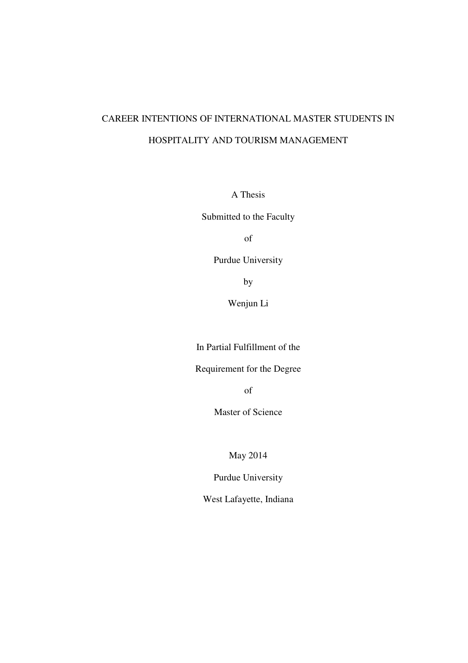## CAREER INTENTIONS OF INTERNATIONAL MASTER STUDENTS IN HOSPITALITY AND TOURISM MANAGEMENT

A Thesis

Submitted to the Faculty

of

Purdue University

by

Wenjun Li

In Partial Fulfillment of the

Requirement for the Degree

of

Master of Science

May 2014

Purdue University

West Lafayette, Indiana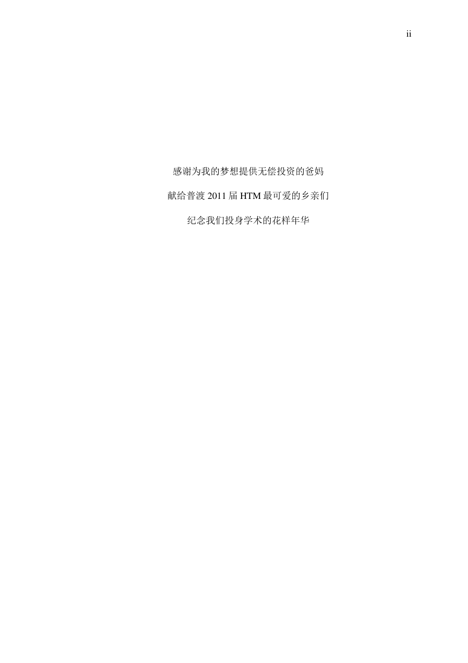感谢为我的梦想提供无偿投资的爸妈

献给普渡 2011 届 HTM 最可爱的乡亲们

纪念我们投身学术的花样年华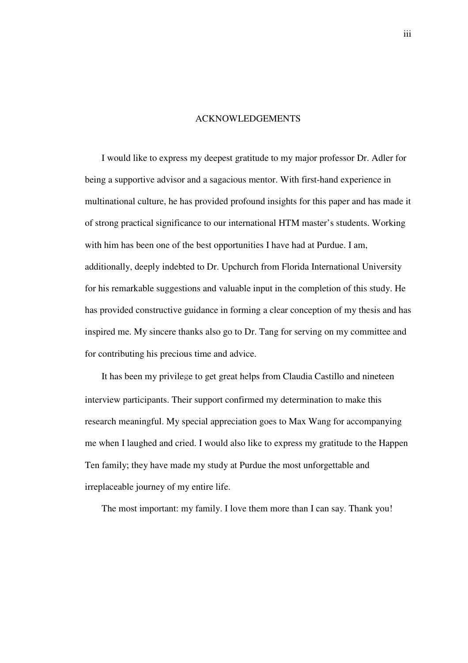#### ACKNOWLEDGEMENTS

I would like to express my deepest gratitude to my major professor Dr. Adler for being a supportive advisor and a sagacious mentor. With first-hand experience in multinational culture, he has provided profound insights for this paper and has made it of strong practical significance to our international HTM master's students. Working with him has been one of the best opportunities I have had at Purdue. I am, additionally, deeply indebted to Dr. Upchurch from Florida International University for his remarkable suggestions and valuable input in the completion of this study. He has provided constructive guidance in forming a clear conception of my thesis and has inspired me. My sincere thanks also go to Dr. Tang for serving on my committee and for contributing his precious time and advice.

It has been my privilege to get great helps from Claudia Castillo and nineteen interview participants. Their support confirmed my determination to make this research meaningful. My special appreciation goes to Max Wang for accompanying me when I laughed and cried. I would also like to express my gratitude to the Happen Ten family; they have made my study at Purdue the most unforgettable and irreplaceable journey of my entire life.

The most important: my family. I love them more than I can say. Thank you!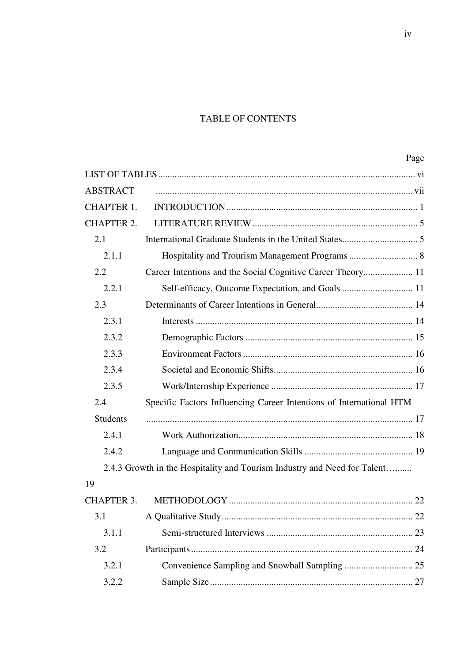## TABLE OF CONTENTS

|                   |                                                                          | Page |
|-------------------|--------------------------------------------------------------------------|------|
|                   |                                                                          |      |
| <b>ABSTRACT</b>   |                                                                          |      |
| <b>CHAPTER 1.</b> |                                                                          |      |
| <b>CHAPTER 2.</b> |                                                                          |      |
| 2.1               |                                                                          |      |
| 2.1.1             |                                                                          |      |
| 2.2               |                                                                          |      |
| 2.2.1             |                                                                          |      |
| 2.3               |                                                                          |      |
| 2.3.1             |                                                                          |      |
| 2.3.2             |                                                                          |      |
| 2.3.3             |                                                                          |      |
| 2.3.4             |                                                                          |      |
| 2.3.5             |                                                                          |      |
| 2.4               | Specific Factors Influencing Career Intentions of International HTM      |      |
| <b>Students</b>   |                                                                          |      |
| 2.4.1             |                                                                          |      |
| 2.4.2             |                                                                          |      |
|                   | 2.4.3 Growth in the Hospitality and Tourism Industry and Need for Talent |      |
| 19                |                                                                          |      |
| <b>CHAPTER 3.</b> |                                                                          |      |
| 3.1               |                                                                          |      |
| 3.1.1             |                                                                          |      |
| 3.2               |                                                                          |      |
| 3.2.1             |                                                                          |      |
| 3.2.2             |                                                                          |      |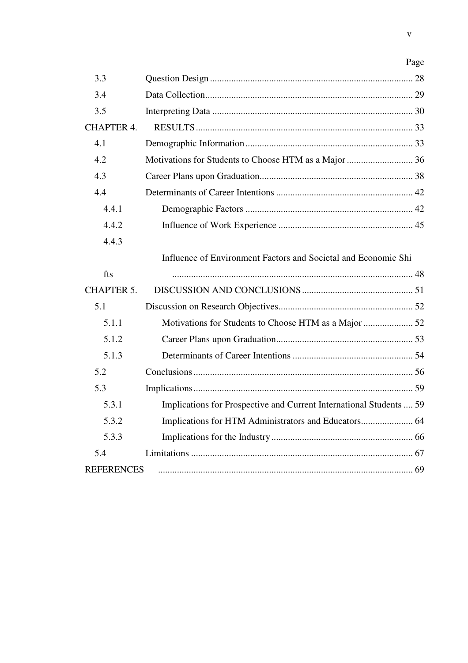|                   |                                                                     | Page |
|-------------------|---------------------------------------------------------------------|------|
| 3.3               |                                                                     |      |
| 3.4               |                                                                     |      |
| 3.5               |                                                                     |      |
| <b>CHAPTER 4.</b> |                                                                     |      |
| 4.1               |                                                                     |      |
| 4.2               |                                                                     |      |
| 4.3               |                                                                     |      |
| 4.4               |                                                                     |      |
| 4.4.1             |                                                                     |      |
| 4.4.2             |                                                                     |      |
| 4.4.3             |                                                                     |      |
|                   | Influence of Environment Factors and Societal and Economic Shi      |      |
| fts               |                                                                     |      |
| <b>CHAPTER 5.</b> |                                                                     |      |
| 5.1               |                                                                     |      |
| 5.1.1             |                                                                     |      |
| 5.1.2             |                                                                     |      |
| 5.1.3             |                                                                     |      |
| 5.2               |                                                                     |      |
| 5.3               |                                                                     |      |
|                   |                                                                     |      |
| 5.3.1             | Implications for Prospective and Current International Students  59 |      |
| 5.3.2             |                                                                     |      |
| 5.3.3             |                                                                     |      |
| 5.4               |                                                                     |      |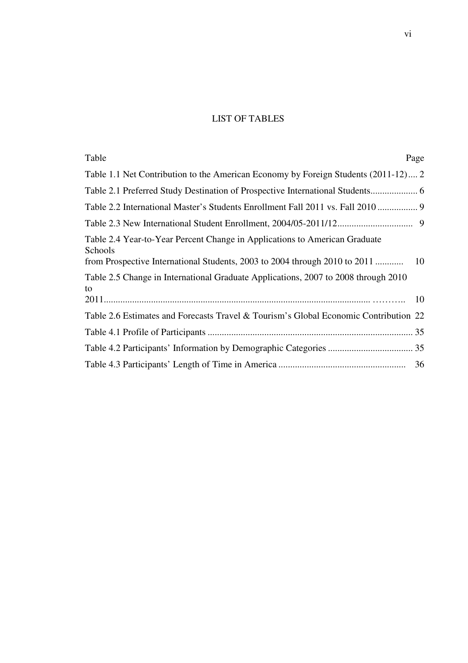## LIST OF TABLES

| Table                                                                                    | Page |
|------------------------------------------------------------------------------------------|------|
| Table 1.1 Net Contribution to the American Economy by Foreign Students (2011-12) 2       |      |
| Table 2.1 Preferred Study Destination of Prospective International Students              |      |
| Table 2.2 International Master's Students Enrollment Fall 2011 vs. Fall 2010  9          |      |
|                                                                                          |      |
| Table 2.4 Year-to-Year Percent Change in Applications to American Graduate<br>Schools    |      |
| Table 2.5 Change in International Graduate Applications, 2007 to 2008 through 2010<br>to |      |
|                                                                                          |      |
| Table 2.6 Estimates and Forecasts Travel & Tourism's Global Economic Contribution 22     |      |
|                                                                                          |      |
|                                                                                          |      |
|                                                                                          |      |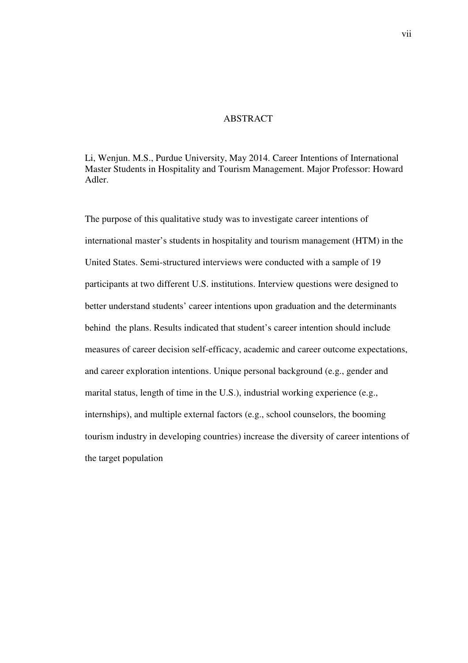#### ABSTRACT

Li, Wenjun. M.S., Purdue University, May 2014. Career Intentions of International Master Students in Hospitality and Tourism Management. Major Professor: Howard Adler.

The purpose of this qualitative study was to investigate career intentions of international master's students in hospitality and tourism management (HTM) in the United States. Semi-structured interviews were conducted with a sample of 19 participants at two different U.S. institutions. Interview questions were designed to better understand students' career intentions upon graduation and the determinants behind the plans. Results indicated that student's career intention should include measures of career decision self-efficacy, academic and career outcome expectations, and career exploration intentions. Unique personal background (e.g., gender and marital status, length of time in the U.S.), industrial working experience (e.g., internships), and multiple external factors (e.g., school counselors, the booming tourism industry in developing countries) increase the diversity of career intentions of the target population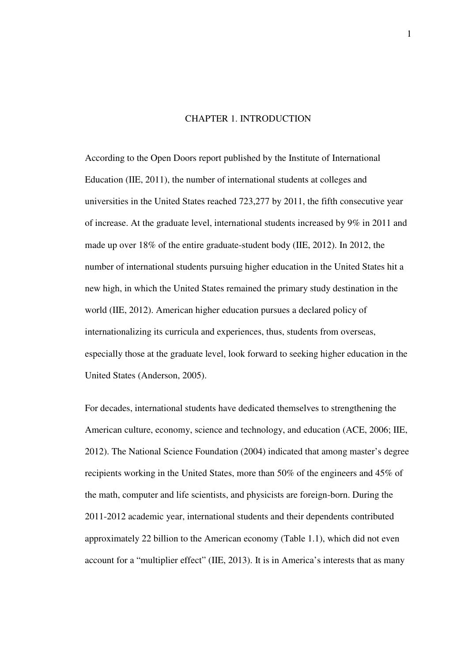#### CHAPTER 1. INTRODUCTION

According to the Open Doors report published by the Institute of International Education (IIE, 2011), the number of international students at colleges and universities in the United States reached 723,277 by 2011, the fifth consecutive year of increase. At the graduate level, international students increased by 9% in 2011 and made up over 18% of the entire graduate-student body (IIE, 2012). In 2012, the number of international students pursuing higher education in the United States hit a new high, in which the United States remained the primary study destination in the world (IIE, 2012). American higher education pursues a declared policy of internationalizing its curricula and experiences, thus, students from overseas, especially those at the graduate level, look forward to seeking higher education in the United States (Anderson, 2005).

For decades, international students have dedicated themselves to strengthening the American culture, economy, science and technology, and education (ACE, 2006; IIE, 2012). The National Science Foundation (2004) indicated that among master's degree recipients working in the United States, more than 50% of the engineers and 45% of the math, computer and life scientists, and physicists are foreign-born. During the 2011-2012 academic year, international students and their dependents contributed approximately 22 billion to the American economy (Table 1.1), which did not even account for a "multiplier effect" (IIE, 2013). It is in America's interests that as many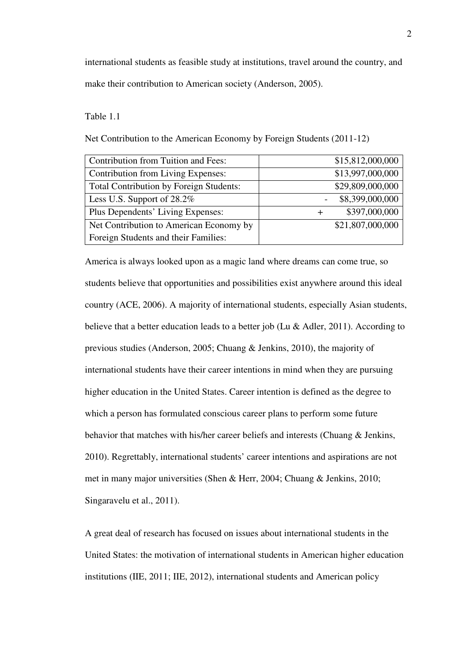international students as feasible study at institutions, travel around the country, and make their contribution to American society (Anderson, 2005).

#### Table 1.1

Net Contribution to the American Economy by Foreign Students (2011-12)

| Contribution from Tuition and Fees:            | \$15,812,000,000 |
|------------------------------------------------|------------------|
| Contribution from Living Expenses:             | \$13,997,000,000 |
| <b>Total Contribution by Foreign Students:</b> | \$29,809,000,000 |
| Less U.S. Support of $28.2\%$                  | \$8,399,000,000  |
| Plus Dependents' Living Expenses:              | \$397,000,000    |
| Net Contribution to American Economy by        | \$21,807,000,000 |
| Foreign Students and their Families:           |                  |

America is always looked upon as a magic land where dreams can come true, so students believe that opportunities and possibilities exist anywhere around this ideal country (ACE, 2006). A majority of international students, especially Asian students, believe that a better education leads to a better job (Lu & Adler, 2011). According to previous studies (Anderson, 2005; Chuang & Jenkins, 2010), the majority of international students have their career intentions in mind when they are pursuing higher education in the United States. Career intention is defined as the degree to which a person has formulated conscious career plans to perform some future behavior that matches with his/her career beliefs and interests (Chuang & Jenkins, 2010). Regrettably, international students' career intentions and aspirations are not met in many major universities (Shen & Herr, 2004; Chuang & Jenkins, 2010; Singaravelu et al., 2011).

A great deal of research has focused on issues about international students in the United States: the motivation of international students in American higher education institutions (IIE, 2011; IIE, 2012), international students and American policy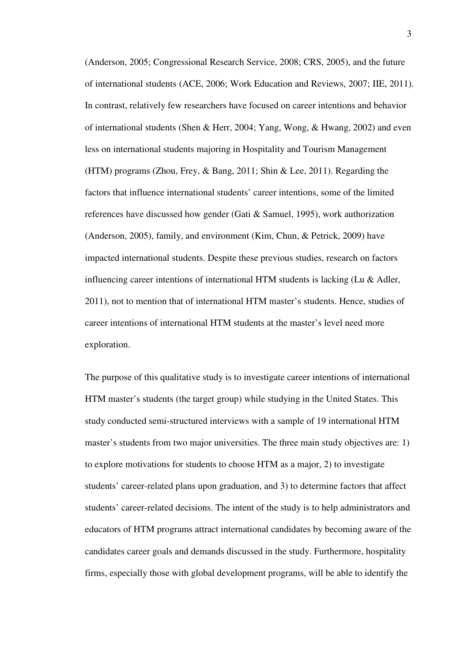(Anderson, 2005; Congressional Research Service, 2008; CRS, 2005), and the future of international students (ACE, 2006; Work Education and Reviews, 2007; IIE, 2011). In contrast, relatively few researchers have focused on career intentions and behavior of international students (Shen & Herr, 2004; Yang, Wong, & Hwang, 2002) and even less on international students majoring in Hospitality and Tourism Management (HTM) programs (Zhou, Frey, & Bang, 2011; Shin & Lee, 2011). Regarding the factors that influence international students' career intentions, some of the limited references have discussed how gender (Gati & Samuel, 1995), work authorization (Anderson, 2005), family, and environment (Kim, Chun, & Petrick, 2009) have impacted international students. Despite these previous studies, research on factors influencing career intentions of international HTM students is lacking (Lu & Adler, 2011), not to mention that of international HTM master's students. Hence, studies of career intentions of international HTM students at the master's level need more exploration.

The purpose of this qualitative study is to investigate career intentions of international HTM master's students (the target group) while studying in the United States. This study conducted semi-structured interviews with a sample of 19 international HTM master's students from two major universities. The three main study objectives are: 1) to explore motivations for students to choose HTM as a major, 2) to investigate students' career-related plans upon graduation, and 3) to determine factors that affect students' career-related decisions. The intent of the study is to help administrators and educators of HTM programs attract international candidates by becoming aware of the candidates career goals and demands discussed in the study. Furthermore, hospitality firms, especially those with global development programs, will be able to identify the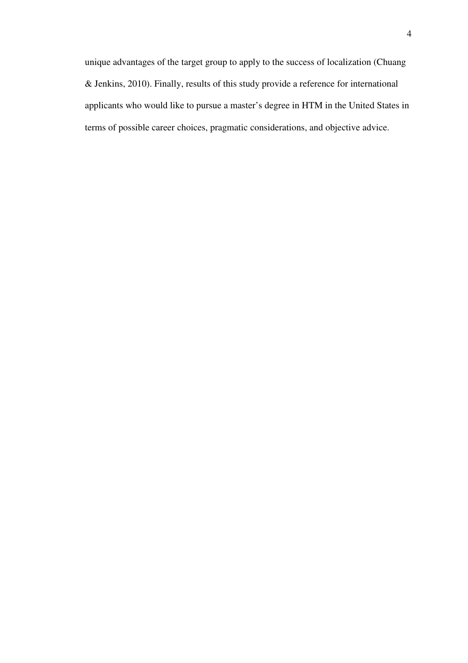unique advantages of the target group to apply to the success of localization (Chuang & Jenkins, 2010). Finally, results of this study provide a reference for international applicants who would like to pursue a master's degree in HTM in the United States in terms of possible career choices, pragmatic considerations, and objective advice.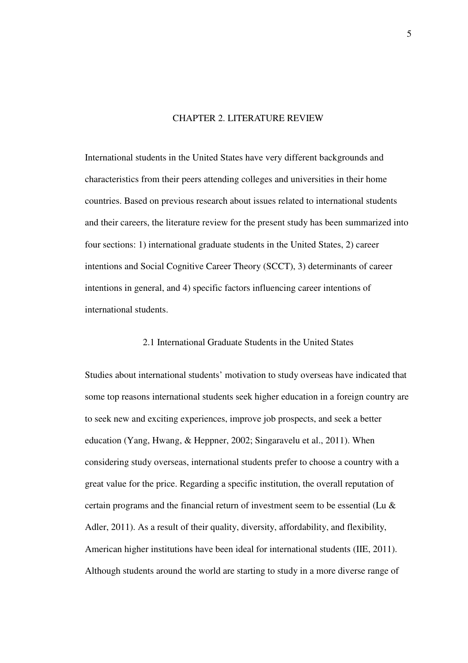#### CHAPTER 2. LITERATURE REVIEW

International students in the United States have very different backgrounds and characteristics from their peers attending colleges and universities in their home countries. Based on previous research about issues related to international students and their careers, the literature review for the present study has been summarized into four sections: 1) international graduate students in the United States, 2) career intentions and Social Cognitive Career Theory (SCCT), 3) determinants of career intentions in general, and 4) specific factors influencing career intentions of international students.

#### 2.1 International Graduate Students in the United States

Studies about international students' motivation to study overseas have indicated that some top reasons international students seek higher education in a foreign country are to seek new and exciting experiences, improve job prospects, and seek a better education (Yang, Hwang, & Heppner, 2002; Singaravelu et al., 2011). When considering study overseas, international students prefer to choose a country with a great value for the price. Regarding a specific institution, the overall reputation of certain programs and the financial return of investment seem to be essential (Lu & Adler, 2011). As a result of their quality, diversity, affordability, and flexibility, American higher institutions have been ideal for international students (IIE, 2011). Although students around the world are starting to study in a more diverse range of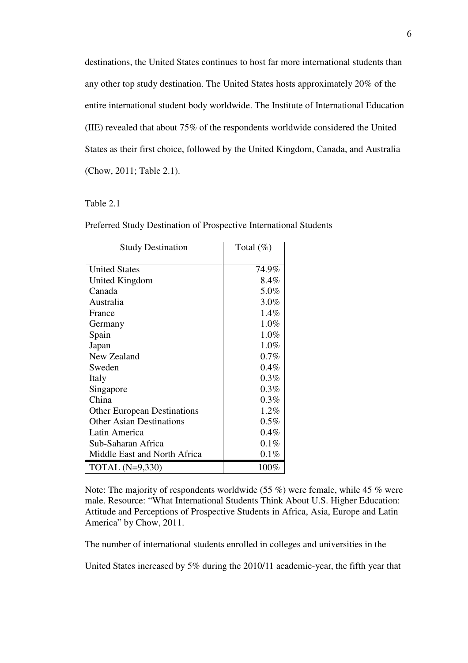destinations, the United States continues to host far more international students than any other top study destination. The United States hosts approximately 20% of the entire international student body worldwide. The Institute of International Education (IIE) revealed that about 75% of the respondents worldwide considered the United States as their first choice, followed by the United Kingdom, Canada, and Australia (Chow, 2011; Table 2.1).

#### Table 2.1

| <b>Study Destination</b>           | Total $(\%)$ |
|------------------------------------|--------------|
|                                    |              |
| <b>United States</b>               | 74.9%        |
| United Kingdom                     | 8.4%         |
| Canada                             | 5.0%         |
| Australia                          | 3.0%         |
| France                             | 1.4%         |
| Germany                            | $1.0\%$      |
| Spain                              | $1.0\%$      |
| Japan                              | 1.0%         |
| New Zealand                        | 0.7%         |
| Sweden                             | $0.4\%$      |
| Italy                              | 0.3%         |
| Singapore                          | $0.3\%$      |
| China                              | $0.3\%$      |
| <b>Other European Destinations</b> | $1.2\%$      |
| <b>Other Asian Destinations</b>    | $0.5\%$      |
| Latin America                      | $0.4\%$      |
| Sub-Saharan Africa                 | $0.1\%$      |
| Middle East and North Africa       | 0.1%         |
| <b>TOTAL</b> (N=9,330)             | 100%         |

Preferred Study Destination of Prospective International Students

Note: The majority of respondents worldwide (55 %) were female, while 45 % were male. Resource: "What International Students Think About U.S. Higher Education: Attitude and Perceptions of Prospective Students in Africa, Asia, Europe and Latin America" by Chow, 2011.

The number of international students enrolled in colleges and universities in the

United States increased by 5% during the 2010/11 academic-year, the fifth year that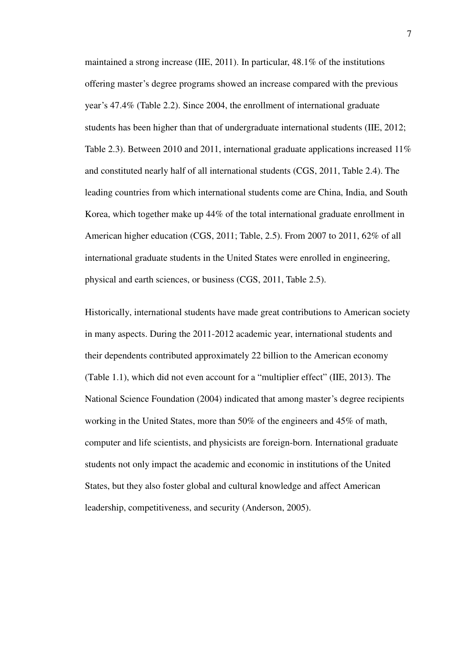maintained a strong increase (IIE, 2011). In particular, 48.1% of the institutions offering master's degree programs showed an increase compared with the previous year's 47.4% (Table 2.2). Since 2004, the enrollment of international graduate students has been higher than that of undergraduate international students (IIE, 2012; Table 2.3). Between 2010 and 2011, international graduate applications increased 11% and constituted nearly half of all international students (CGS, 2011, Table 2.4). The leading countries from which international students come are China, India, and South Korea, which together make up 44% of the total international graduate enrollment in American higher education (CGS, 2011; Table, 2.5). From 2007 to 2011, 62% of all international graduate students in the United States were enrolled in engineering, physical and earth sciences, or business (CGS, 2011, Table 2.5).

Historically, international students have made great contributions to American society in many aspects. During the 2011-2012 academic year, international students and their dependents contributed approximately 22 billion to the American economy (Table 1.1), which did not even account for a "multiplier effect" (IIE, 2013). The National Science Foundation (2004) indicated that among master's degree recipients working in the United States, more than 50% of the engineers and 45% of math, computer and life scientists, and physicists are foreign-born. International graduate students not only impact the academic and economic in institutions of the United States, but they also foster global and cultural knowledge and affect American leadership, competitiveness, and security (Anderson, 2005).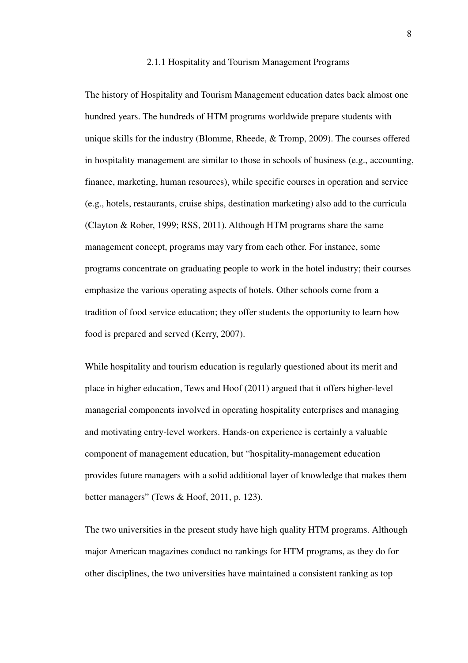#### 2.1.1 Hospitality and Tourism Management Programs

The history of Hospitality and Tourism Management education dates back almost one hundred years. The hundreds of HTM programs worldwide prepare students with unique skills for the industry (Blomme, Rheede, & Tromp, 2009). The courses offered in hospitality management are similar to those in schools of business (e.g., accounting, finance, marketing, human resources), while specific courses in operation and service (e.g., hotels, restaurants, cruise ships, destination marketing) also add to the curricula (Clayton & Rober, 1999; RSS, 2011). Although HTM programs share the same management concept, programs may vary from each other. For instance, some programs concentrate on graduating people to work in the hotel industry; their courses emphasize the various operating aspects of hotels. Other schools come from a tradition of food service education; they offer students the opportunity to learn how food is prepared and served (Kerry, 2007).

While hospitality and tourism education is regularly questioned about its merit and place in higher education, Tews and Hoof (2011) argued that it offers higher-level managerial components involved in operating hospitality enterprises and managing and motivating entry-level workers. Hands-on experience is certainly a valuable component of management education, but "hospitality-management education provides future managers with a solid additional layer of knowledge that makes them better managers" (Tews & Hoof, 2011, p. 123).

The two universities in the present study have high quality HTM programs. Although major American magazines conduct no rankings for HTM programs, as they do for other disciplines, the two universities have maintained a consistent ranking as top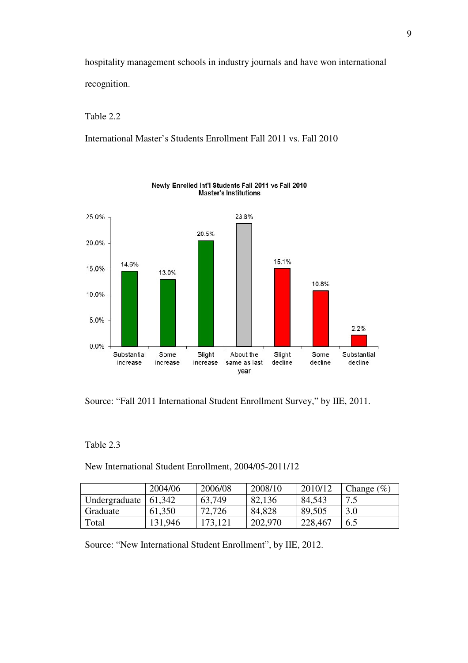hospitality management schools in industry journals and have won international recognition.

### Table 2.2

International Master's Students Enrollment Fall 2011 vs. Fall 2010



Newly Enrolled Int'l Students Fall 2011 vs Fall 2010 **Master's Institutions** 

Source: "Fall 2011 International Student Enrollment Survey," by IIE, 2011.

Table 2.3

New International Student Enrollment, 2004/05-2011/12

|               | 2004/06 | 2006/08 | 2008/10 | 2010/12 | Change $(\%)$ |
|---------------|---------|---------|---------|---------|---------------|
| Undergraduate | 61.342  | 63,749  | 82,136  | 84,543  | ن ا           |
| Graduate      | 61,350  | 72,726  | 84,828  | 89,505  | 3.0           |
| Total         | 131,946 | 173,121 | 202,970 | 228,467 | 6.5           |

Source: "New International Student Enrollment", by IIE, 2012.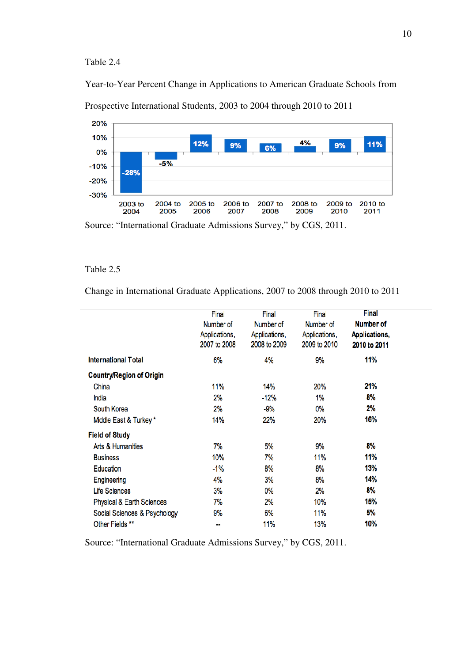Table 2.4

Year-to-Year Percent Change in Applications to American Graduate Schools from



Prospective International Students, 2003 to 2004 through 2010 to 2011

Source: "International Graduate Admissions Survey," by CGS, 2011.

#### Table 2.5

Change in International Graduate Applications, 2007 to 2008 through 2010 to 2011

|                                 | Final<br>Number of<br>Applications,<br>2007 to 2008 | Final<br>Number of<br>Applications,<br>2008 to 2009 | Final<br>Number of<br>Applications,<br>2009 to 2010 | <b>Final</b><br>Number of<br>Applications,<br>2010 to 2011 |  |
|---------------------------------|-----------------------------------------------------|-----------------------------------------------------|-----------------------------------------------------|------------------------------------------------------------|--|
| <b>International Total</b>      | 6%                                                  | 4%                                                  | 9%                                                  | 11%                                                        |  |
| <b>Country/Region of Origin</b> |                                                     |                                                     |                                                     |                                                            |  |
| China                           | 11%                                                 | 14%                                                 | 20%                                                 | 21%                                                        |  |
| India                           | 2%                                                  | $-12%$                                              | $1\%$                                               | 8%                                                         |  |
| South Korea                     | 2%                                                  | -9%                                                 | 0%                                                  | 2%                                                         |  |
| Middle East & Turkey*           | 14%                                                 | 22%                                                 | 20%                                                 | 16%                                                        |  |
| <b>Field of Study</b>           |                                                     |                                                     |                                                     |                                                            |  |
| Arts & Humanities               | 7%                                                  | 5%                                                  | 9%                                                  | 8%                                                         |  |
| <b>Business</b>                 | 10%                                                 | 7%                                                  | 11%                                                 | 11%                                                        |  |
| Education                       | -1%                                                 | 8%                                                  | 8%                                                  | 13%                                                        |  |
| Engineering                     | 4%                                                  | 3%                                                  | 8%                                                  | 14%                                                        |  |
| <b>Life Sciences</b>            | 3%                                                  | 0%                                                  | 2%                                                  | 8%                                                         |  |
| Physical & Earth Sciences       | 7%                                                  | 2%                                                  | 10%                                                 | 15%                                                        |  |
| Social Sciences & Psychology    | 9%                                                  | 6%                                                  | 11%                                                 | 5%                                                         |  |
| Other Fields **                 | ш.                                                  | 11%                                                 | 13%                                                 | 10%                                                        |  |

Source: "International Graduate Admissions Survey," by CGS, 2011.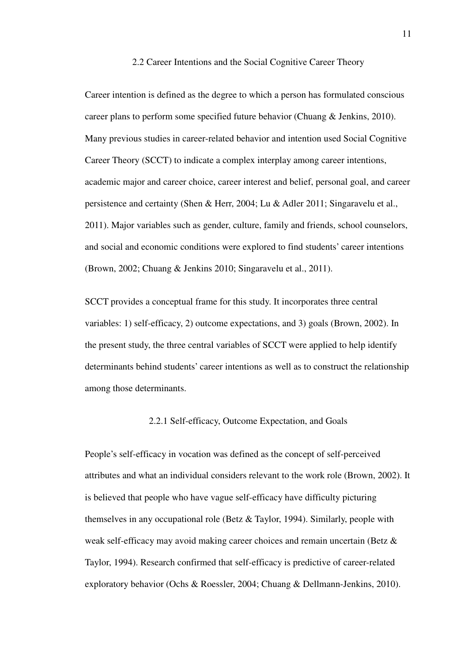#### 2.2 Career Intentions and the Social Cognitive Career Theory

Career intention is defined as the degree to which a person has formulated conscious career plans to perform some specified future behavior (Chuang & Jenkins, 2010). Many previous studies in career-related behavior and intention used Social Cognitive Career Theory (SCCT) to indicate a complex interplay among career intentions, academic major and career choice, career interest and belief, personal goal, and career persistence and certainty (Shen & Herr, 2004; Lu & Adler 2011; Singaravelu et al., 2011). Major variables such as gender, culture, family and friends, school counselors, and social and economic conditions were explored to find students' career intentions (Brown, 2002; Chuang & Jenkins 2010; Singaravelu et al., 2011).

SCCT provides a conceptual frame for this study. It incorporates three central variables: 1) self-efficacy, 2) outcome expectations, and 3) goals (Brown, 2002). In the present study, the three central variables of SCCT were applied to help identify determinants behind students' career intentions as well as to construct the relationship among those determinants.

#### 2.2.1 Self-efficacy, Outcome Expectation, and Goals

People's self-efficacy in vocation was defined as the concept of self-perceived attributes and what an individual considers relevant to the work role (Brown, 2002). It is believed that people who have vague self-efficacy have difficulty picturing themselves in any occupational role (Betz & Taylor, 1994). Similarly, people with weak self-efficacy may avoid making career choices and remain uncertain (Betz & Taylor, 1994). Research confirmed that self-efficacy is predictive of career-related exploratory behavior (Ochs & Roessler, 2004; Chuang & Dellmann-Jenkins, 2010).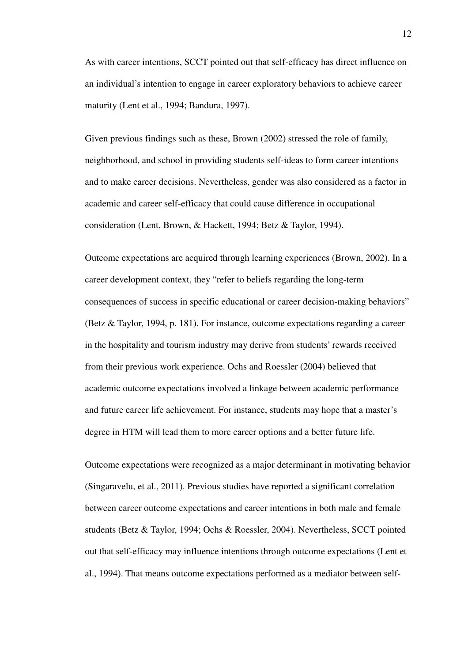As with career intentions, SCCT pointed out that self-efficacy has direct influence on an individual's intention to engage in career exploratory behaviors to achieve career maturity (Lent et al., 1994; Bandura, 1997).

Given previous findings such as these, Brown (2002) stressed the role of family, neighborhood, and school in providing students self-ideas to form career intentions and to make career decisions. Nevertheless, gender was also considered as a factor in academic and career self-efficacy that could cause difference in occupational consideration (Lent, Brown, & Hackett, 1994; Betz & Taylor, 1994).

Outcome expectations are acquired through learning experiences (Brown, 2002). In a career development context, they "refer to beliefs regarding the long-term consequences of success in specific educational or career decision-making behaviors" (Betz & Taylor, 1994, p. 181). For instance, outcome expectations regarding a career in the hospitality and tourism industry may derive from students' rewards received from their previous work experience. Ochs and Roessler (2004) believed that academic outcome expectations involved a linkage between academic performance and future career life achievement. For instance, students may hope that a master's degree in HTM will lead them to more career options and a better future life.

Outcome expectations were recognized as a major determinant in motivating behavior (Singaravelu, et al., 2011). Previous studies have reported a significant correlation between career outcome expectations and career intentions in both male and female students (Betz & Taylor, 1994; Ochs & Roessler, 2004). Nevertheless, SCCT pointed out that self-efficacy may influence intentions through outcome expectations (Lent et al., 1994). That means outcome expectations performed as a mediator between self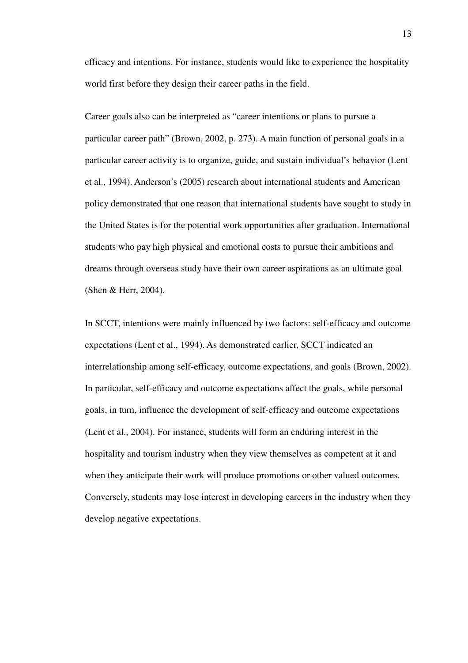efficacy and intentions. For instance, students would like to experience the hospitality world first before they design their career paths in the field.

Career goals also can be interpreted as "career intentions or plans to pursue a particular career path" (Brown, 2002, p. 273). A main function of personal goals in a particular career activity is to organize, guide, and sustain individual's behavior (Lent et al., 1994). Anderson's (2005) research about international students and American policy demonstrated that one reason that international students have sought to study in the United States is for the potential work opportunities after graduation. International students who pay high physical and emotional costs to pursue their ambitions and dreams through overseas study have their own career aspirations as an ultimate goal (Shen & Herr, 2004).

In SCCT, intentions were mainly influenced by two factors: self-efficacy and outcome expectations (Lent et al., 1994). As demonstrated earlier, SCCT indicated an interrelationship among self-efficacy, outcome expectations, and goals (Brown, 2002). In particular, self-efficacy and outcome expectations affect the goals, while personal goals, in turn, influence the development of self-efficacy and outcome expectations (Lent et al., 2004). For instance, students will form an enduring interest in the hospitality and tourism industry when they view themselves as competent at it and when they anticipate their work will produce promotions or other valued outcomes. Conversely, students may lose interest in developing careers in the industry when they develop negative expectations.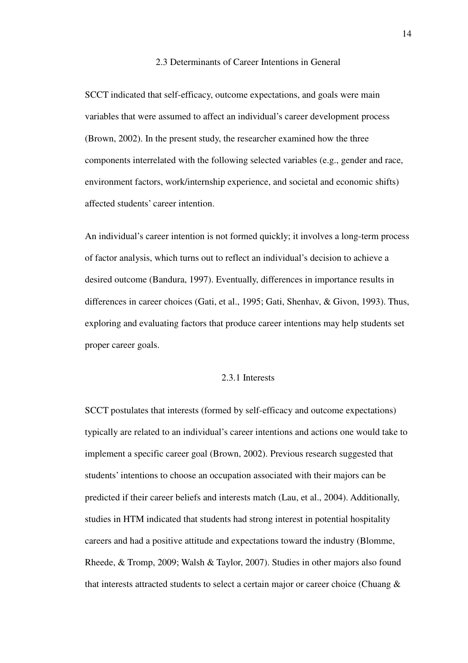#### 2.3 Determinants of Career Intentions in General

SCCT indicated that self-efficacy, outcome expectations, and goals were main variables that were assumed to affect an individual's career development process (Brown, 2002). In the present study, the researcher examined how the three components interrelated with the following selected variables (e.g., gender and race, environment factors, work/internship experience, and societal and economic shifts) affected students' career intention.

An individual's career intention is not formed quickly; it involves a long-term process of factor analysis, which turns out to reflect an individual's decision to achieve a desired outcome (Bandura, 1997). Eventually, differences in importance results in differences in career choices (Gati, et al., 1995; Gati, Shenhav, & Givon, 1993). Thus, exploring and evaluating factors that produce career intentions may help students set proper career goals.

#### 2.3.1 Interests

SCCT postulates that interests (formed by self-efficacy and outcome expectations) typically are related to an individual's career intentions and actions one would take to implement a specific career goal (Brown, 2002). Previous research suggested that students' intentions to choose an occupation associated with their majors can be predicted if their career beliefs and interests match (Lau, et al., 2004). Additionally, studies in HTM indicated that students had strong interest in potential hospitality careers and had a positive attitude and expectations toward the industry (Blomme, Rheede, & Tromp, 2009; Walsh & Taylor, 2007). Studies in other majors also found that interests attracted students to select a certain major or career choice (Chuang &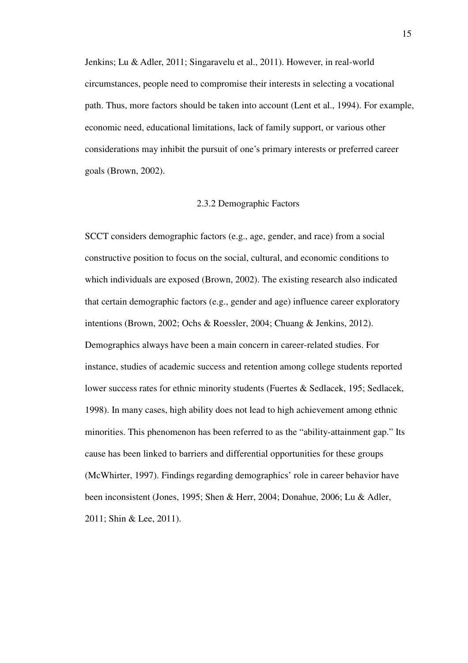Jenkins; Lu & Adler, 2011; Singaravelu et al., 2011). However, in real-world circumstances, people need to compromise their interests in selecting a vocational path. Thus, more factors should be taken into account (Lent et al., 1994). For example, economic need, educational limitations, lack of family support, or various other considerations may inhibit the pursuit of one's primary interests or preferred career goals (Brown, 2002).

#### 2.3.2 Demographic Factors

SCCT considers demographic factors (e.g., age, gender, and race) from a social constructive position to focus on the social, cultural, and economic conditions to which individuals are exposed (Brown, 2002). The existing research also indicated that certain demographic factors (e.g., gender and age) influence career exploratory intentions (Brown, 2002; Ochs & Roessler, 2004; Chuang & Jenkins, 2012). Demographics always have been a main concern in career-related studies. For instance, studies of academic success and retention among college students reported lower success rates for ethnic minority students (Fuertes & Sedlacek, 195; Sedlacek, 1998). In many cases, high ability does not lead to high achievement among ethnic minorities. This phenomenon has been referred to as the "ability-attainment gap." Its cause has been linked to barriers and differential opportunities for these groups (McWhirter, 1997). Findings regarding demographics' role in career behavior have been inconsistent (Jones, 1995; Shen & Herr, 2004; Donahue, 2006; Lu & Adler, 2011; Shin & Lee, 2011).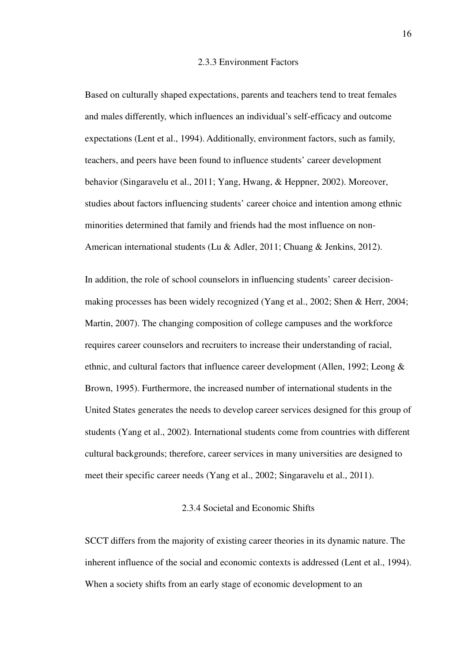#### 2.3.3 Environment Factors

Based on culturally shaped expectations, parents and teachers tend to treat females and males differently, which influences an individual's self-efficacy and outcome expectations (Lent et al., 1994). Additionally, environment factors, such as family, teachers, and peers have been found to influence students' career development behavior (Singaravelu et al., 2011; Yang, Hwang, & Heppner, 2002). Moreover, studies about factors influencing students' career choice and intention among ethnic minorities determined that family and friends had the most influence on non-American international students (Lu & Adler, 2011; Chuang & Jenkins, 2012).

In addition, the role of school counselors in influencing students' career decisionmaking processes has been widely recognized (Yang et al., 2002; Shen & Herr, 2004; Martin, 2007). The changing composition of college campuses and the workforce requires career counselors and recruiters to increase their understanding of racial, ethnic, and cultural factors that influence career development (Allen, 1992; Leong & Brown, 1995). Furthermore, the increased number of international students in the United States generates the needs to develop career services designed for this group of students (Yang et al., 2002). International students come from countries with different cultural backgrounds; therefore, career services in many universities are designed to meet their specific career needs (Yang et al., 2002; Singaravelu et al., 2011).

#### 2.3.4 Societal and Economic Shifts

SCCT differs from the majority of existing career theories in its dynamic nature. The inherent influence of the social and economic contexts is addressed (Lent et al., 1994). When a society shifts from an early stage of economic development to an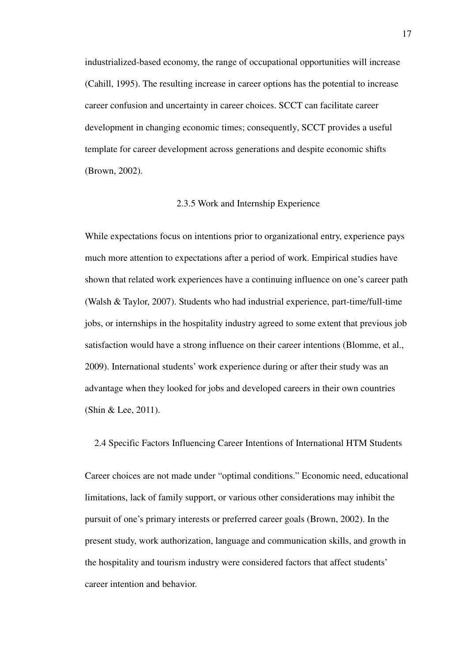industrialized-based economy, the range of occupational opportunities will increase (Cahill, 1995). The resulting increase in career options has the potential to increase career confusion and uncertainty in career choices. SCCT can facilitate career development in changing economic times; consequently, SCCT provides a useful template for career development across generations and despite economic shifts (Brown, 2002).

#### 2.3.5 Work and Internship Experience

While expectations focus on intentions prior to organizational entry, experience pays much more attention to expectations after a period of work. Empirical studies have shown that related work experiences have a continuing influence on one's career path (Walsh & Taylor, 2007). Students who had industrial experience, part-time/full-time jobs, or internships in the hospitality industry agreed to some extent that previous job satisfaction would have a strong influence on their career intentions (Blomme, et al., 2009). International students' work experience during or after their study was an advantage when they looked for jobs and developed careers in their own countries (Shin & Lee, 2011).

2.4 Specific Factors Influencing Career Intentions of International HTM Students

Career choices are not made under "optimal conditions." Economic need, educational limitations, lack of family support, or various other considerations may inhibit the pursuit of one's primary interests or preferred career goals (Brown, 2002). In the present study, work authorization, language and communication skills, and growth in the hospitality and tourism industry were considered factors that affect students' career intention and behavior.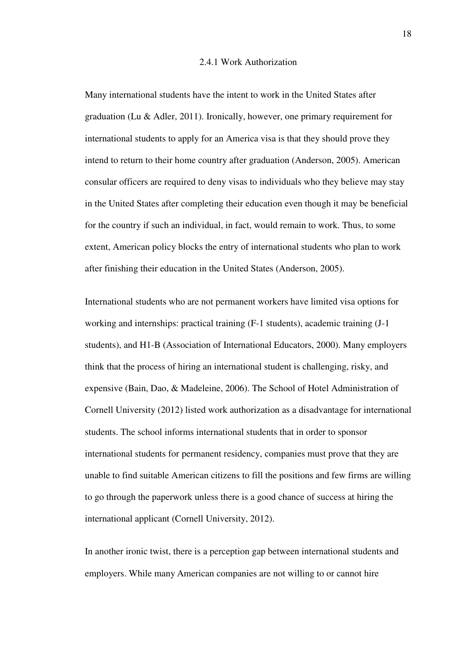#### 2.4.1 Work Authorization

Many international students have the intent to work in the United States after graduation (Lu & Adler, 2011). Ironically, however, one primary requirement for international students to apply for an America visa is that they should prove they intend to return to their home country after graduation (Anderson, 2005). American consular officers are required to deny visas to individuals who they believe may stay in the United States after completing their education even though it may be beneficial for the country if such an individual, in fact, would remain to work. Thus, to some extent, American policy blocks the entry of international students who plan to work after finishing their education in the United States (Anderson, 2005).

International students who are not permanent workers have limited visa options for working and internships: practical training (F-1 students), academic training (J-1 students), and H1-B (Association of International Educators, 2000). Many employers think that the process of hiring an international student is challenging, risky, and expensive (Bain, Dao, & Madeleine, 2006). The School of Hotel Administration of Cornell University (2012) listed work authorization as a disadvantage for international students. The school informs international students that in order to sponsor international students for permanent residency, companies must prove that they are unable to find suitable American citizens to fill the positions and few firms are willing to go through the paperwork unless there is a good chance of success at hiring the international applicant (Cornell University, 2012).

In another ironic twist, there is a perception gap between international students and employers. While many American companies are not willing to or cannot hire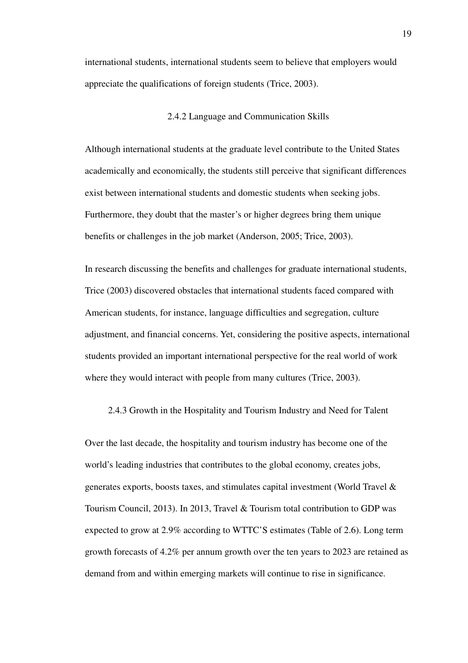international students, international students seem to believe that employers would appreciate the qualifications of foreign students (Trice, 2003).

#### 2.4.2 Language and Communication Skills

Although international students at the graduate level contribute to the United States academically and economically, the students still perceive that significant differences exist between international students and domestic students when seeking jobs. Furthermore, they doubt that the master's or higher degrees bring them unique benefits or challenges in the job market (Anderson, 2005; Trice, 2003).

In research discussing the benefits and challenges for graduate international students, Trice (2003) discovered obstacles that international students faced compared with American students, for instance, language difficulties and segregation, culture adjustment, and financial concerns. Yet, considering the positive aspects, international students provided an important international perspective for the real world of work where they would interact with people from many cultures (Trice, 2003).

2.4.3 Growth in the Hospitality and Tourism Industry and Need for Talent

Over the last decade, the hospitality and tourism industry has become one of the world's leading industries that contributes to the global economy, creates jobs, generates exports, boosts taxes, and stimulates capital investment (World Travel & Tourism Council, 2013). In 2013, Travel & Tourism total contribution to GDP was expected to grow at 2.9% according to WTTC'S estimates (Table of 2.6). Long term growth forecasts of 4.2% per annum growth over the ten years to 2023 are retained as demand from and within emerging markets will continue to rise in significance.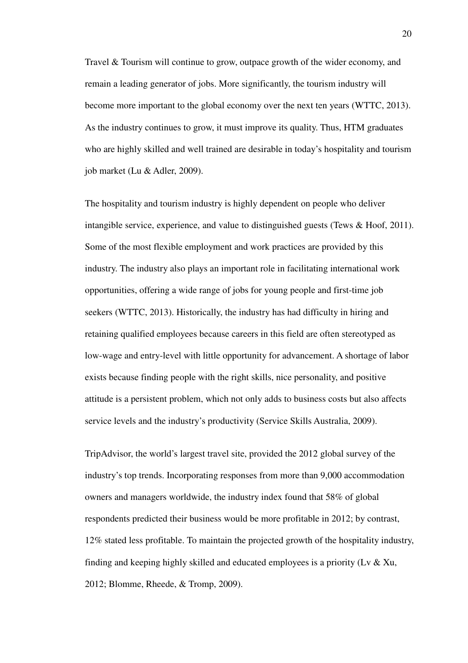Travel & Tourism will continue to grow, outpace growth of the wider economy, and remain a leading generator of jobs. More significantly, the tourism industry will become more important to the global economy over the next ten years (WTTC, 2013). As the industry continues to grow, it must improve its quality. Thus, HTM graduates who are highly skilled and well trained are desirable in today's hospitality and tourism job market (Lu & Adler, 2009).

The hospitality and tourism industry is highly dependent on people who deliver intangible service, experience, and value to distinguished guests (Tews & Hoof, 2011). Some of the most flexible employment and work practices are provided by this industry. The industry also plays an important role in facilitating international work opportunities, offering a wide range of jobs for young people and first-time job seekers (WTTC, 2013). Historically, the industry has had difficulty in hiring and retaining qualified employees because careers in this field are often stereotyped as low-wage and entry-level with little opportunity for advancement. A shortage of labor exists because finding people with the right skills, nice personality, and positive attitude is a persistent problem, which not only adds to business costs but also affects service levels and the industry's productivity (Service Skills Australia, 2009).

TripAdvisor, the world's largest travel site, provided the 2012 global survey of the industry's top trends. Incorporating responses from more than 9,000 accommodation owners and managers worldwide, the industry index found that 58% of global respondents predicted their business would be more profitable in 2012; by contrast, 12% stated less profitable. To maintain the projected growth of the hospitality industry, finding and keeping highly skilled and educated employees is a priority (Lv  $\&$  Xu, 2012; Blomme, Rheede, & Tromp, 2009).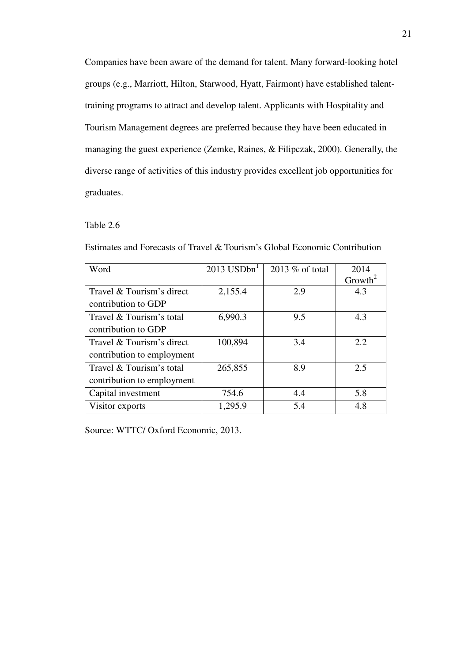Companies have been aware of the demand for talent. Many forward-looking hotel groups (e.g., Marriott, Hilton, Starwood, Hyatt, Fairmont) have established talenttraining programs to attract and develop talent. Applicants with Hospitality and Tourism Management degrees are preferred because they have been educated in managing the guest experience (Zemke, Raines, & Filipczak, 2000). Generally, the diverse range of activities of this industry provides excellent job opportunities for graduates.

#### Table 2.6

| Word                       | $2013$ USDbn <sup>1</sup> | 2013 % of total | 2014                |
|----------------------------|---------------------------|-----------------|---------------------|
|                            |                           |                 | Growth <sup>2</sup> |
| Travel & Tourism's direct  | 2,155.4                   | 2.9             | 4.3                 |
| contribution to GDP        |                           |                 |                     |
| Travel & Tourism's total   | 6,990.3                   | 9.5             | 4.3                 |
| contribution to GDP        |                           |                 |                     |
| Travel & Tourism's direct  | 100,894                   | 3.4             | 2.2                 |
| contribution to employment |                           |                 |                     |
| Travel & Tourism's total   | 265,855                   | 8.9             | 2.5                 |
| contribution to employment |                           |                 |                     |
| Capital investment         | 754.6                     | 4.4             | 5.8                 |
| Visitor exports            | 1,295.9                   | 5.4             | 4.8                 |

Estimates and Forecasts of Travel & Tourism's Global Economic Contribution

Source: WTTC/ Oxford Economic, 2013.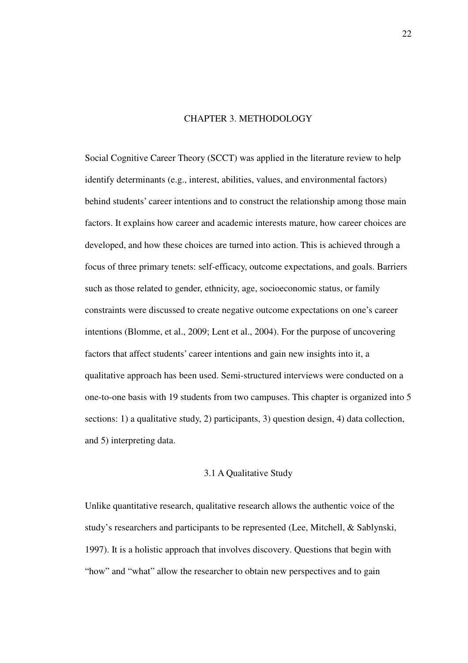#### CHAPTER 3. METHODOLOGY

Social Cognitive Career Theory (SCCT) was applied in the literature review to help identify determinants (e.g., interest, abilities, values, and environmental factors) behind students' career intentions and to construct the relationship among those main factors. It explains how career and academic interests mature, how career choices are developed, and how these choices are turned into action. This is achieved through a focus of three primary tenets: self-efficacy, outcome expectations, and goals. Barriers such as those related to gender, ethnicity, age, socioeconomic status, or family constraints were discussed to create negative outcome expectations on one's career intentions (Blomme, et al., 2009; Lent et al., 2004). For the purpose of uncovering factors that affect students' career intentions and gain new insights into it, a qualitative approach has been used. Semi-structured interviews were conducted on a one-to-one basis with 19 students from two campuses. This chapter is organized into 5 sections: 1) a qualitative study, 2) participants, 3) question design, 4) data collection, and 5) interpreting data.

#### 3.1 A Qualitative Study

Unlike quantitative research, qualitative research allows the authentic voice of the study's researchers and participants to be represented (Lee, Mitchell, & Sablynski, 1997). It is a holistic approach that involves discovery. Questions that begin with "how" and "what" allow the researcher to obtain new perspectives and to gain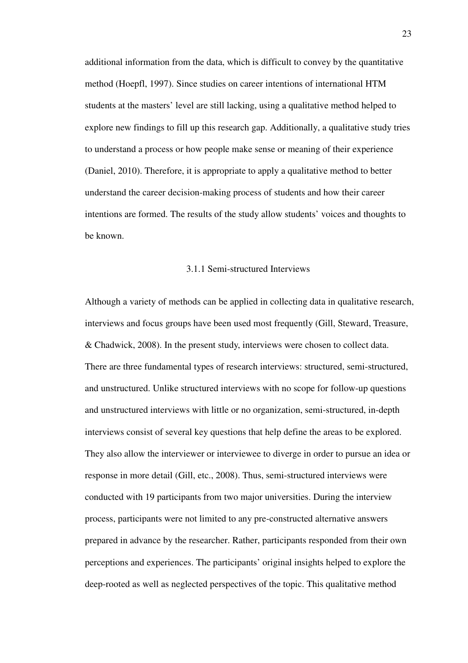additional information from the data, which is difficult to convey by the quantitative method (Hoepfl, 1997). Since studies on career intentions of international HTM students at the masters' level are still lacking, using a qualitative method helped to explore new findings to fill up this research gap. Additionally, a qualitative study tries to understand a process or how people make sense or meaning of their experience (Daniel, 2010). Therefore, it is appropriate to apply a qualitative method to better understand the career decision-making process of students and how their career intentions are formed. The results of the study allow students' voices and thoughts to be known.

#### 3.1.1 Semi-structured Interviews

Although a variety of methods can be applied in collecting data in qualitative research, interviews and focus groups have been used most frequently (Gill, Steward, Treasure, & Chadwick, 2008). In the present study, interviews were chosen to collect data. There are three fundamental types of research interviews: structured, semi-structured, and unstructured. Unlike structured interviews with no scope for follow-up questions and unstructured interviews with little or no organization, semi-structured, in-depth interviews consist of several key questions that help define the areas to be explored. They also allow the interviewer or interviewee to diverge in order to pursue an idea or response in more detail (Gill, etc., 2008). Thus, semi-structured interviews were conducted with 19 participants from two major universities. During the interview process, participants were not limited to any pre-constructed alternative answers prepared in advance by the researcher. Rather, participants responded from their own perceptions and experiences. The participants' original insights helped to explore the deep-rooted as well as neglected perspectives of the topic. This qualitative method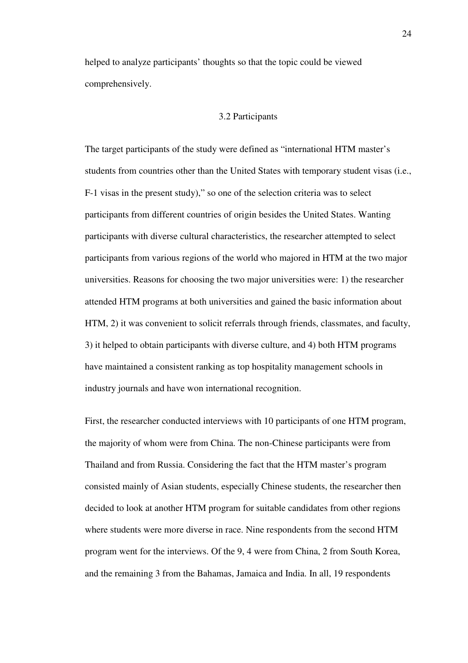helped to analyze participants' thoughts so that the topic could be viewed comprehensively.

#### 3.2 Participants

The target participants of the study were defined as "international HTM master's students from countries other than the United States with temporary student visas (i.e., F-1 visas in the present study)," so one of the selection criteria was to select participants from different countries of origin besides the United States. Wanting participants with diverse cultural characteristics, the researcher attempted to select participants from various regions of the world who majored in HTM at the two major universities. Reasons for choosing the two major universities were: 1) the researcher attended HTM programs at both universities and gained the basic information about HTM, 2) it was convenient to solicit referrals through friends, classmates, and faculty, 3) it helped to obtain participants with diverse culture, and 4) both HTM programs have maintained a consistent ranking as top hospitality management schools in industry journals and have won international recognition.

First, the researcher conducted interviews with 10 participants of one HTM program, the majority of whom were from China. The non-Chinese participants were from Thailand and from Russia. Considering the fact that the HTM master's program consisted mainly of Asian students, especially Chinese students, the researcher then decided to look at another HTM program for suitable candidates from other regions where students were more diverse in race. Nine respondents from the second HTM program went for the interviews. Of the 9, 4 were from China, 2 from South Korea, and the remaining 3 from the Bahamas, Jamaica and India. In all, 19 respondents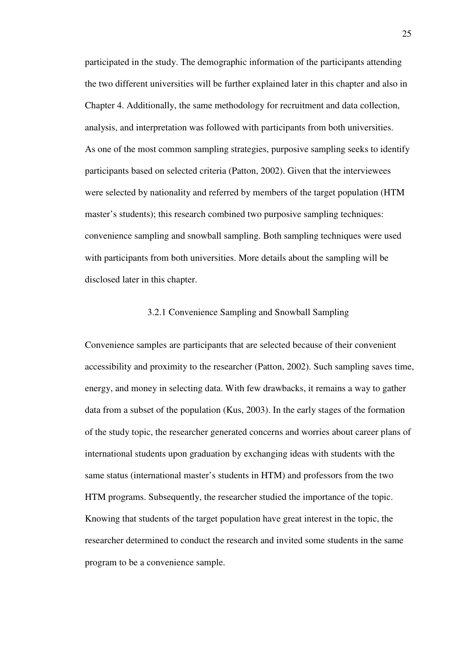participated in the study. The demographic information of the participants attending the two different universities will be further explained later in this chapter and also in Chapter 4. Additionally, the same methodology for recruitment and data collection, analysis, and interpretation was followed with participants from both universities. As one of the most common sampling strategies, purposive sampling seeks to identify participants based on selected criteria (Patton, 2002). Given that the interviewees were selected by nationality and referred by members of the target population (HTM master's students); this research combined two purposive sampling techniques: convenience sampling and snowball sampling. Both sampling techniques were used with participants from both universities. More details about the sampling will be disclosed later in this chapter.

#### 3.2.1 Convenience Sampling and Snowball Sampling

Convenience samples are participants that are selected because of their convenient accessibility and proximity to the researcher (Patton, 2002). Such sampling saves time, energy, and money in selecting data. With few drawbacks, it remains a way to gather data from a subset of the population (Kus, 2003). In the early stages of the formation of the study topic, the researcher generated concerns and worries about career plans of international students upon graduation by exchanging ideas with students with the same status (international master's students in HTM) and professors from the two HTM programs. Subsequently, the researcher studied the importance of the topic. Knowing that students of the target population have great interest in the topic, the researcher determined to conduct the research and invited some students in the same program to be a convenience sample.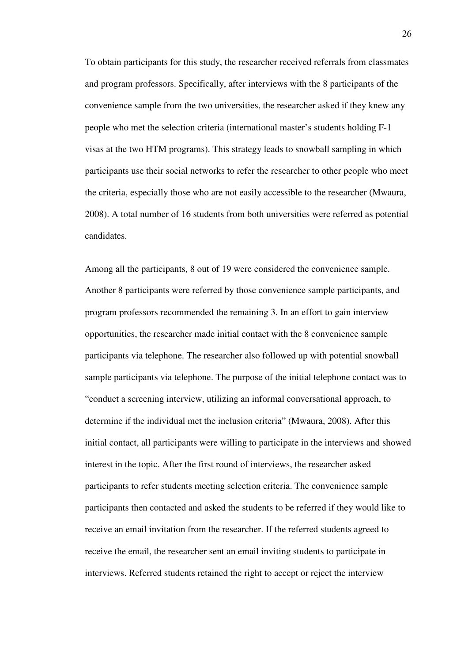To obtain participants for this study, the researcher received referrals from classmates and program professors. Specifically, after interviews with the 8 participants of the convenience sample from the two universities, the researcher asked if they knew any people who met the selection criteria (international master's students holding F-1 visas at the two HTM programs). This strategy leads to snowball sampling in which participants use their social networks to refer the researcher to other people who meet the criteria, especially those who are not easily accessible to the researcher (Mwaura, 2008). A total number of 16 students from both universities were referred as potential candidates.

Among all the participants, 8 out of 19 were considered the convenience sample. Another 8 participants were referred by those convenience sample participants, and program professors recommended the remaining 3. In an effort to gain interview opportunities, the researcher made initial contact with the 8 convenience sample participants via telephone. The researcher also followed up with potential snowball sample participants via telephone. The purpose of the initial telephone contact was to "conduct a screening interview, utilizing an informal conversational approach, to determine if the individual met the inclusion criteria" (Mwaura, 2008). After this initial contact, all participants were willing to participate in the interviews and showed interest in the topic. After the first round of interviews, the researcher asked participants to refer students meeting selection criteria. The convenience sample participants then contacted and asked the students to be referred if they would like to receive an email invitation from the researcher. If the referred students agreed to receive the email, the researcher sent an email inviting students to participate in interviews. Referred students retained the right to accept or reject the interview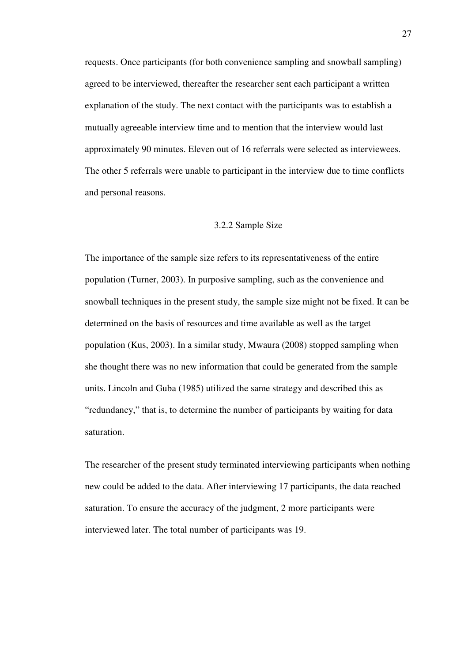requests. Once participants (for both convenience sampling and snowball sampling) agreed to be interviewed, thereafter the researcher sent each participant a written explanation of the study. The next contact with the participants was to establish a mutually agreeable interview time and to mention that the interview would last approximately 90 minutes. Eleven out of 16 referrals were selected as interviewees. The other 5 referrals were unable to participant in the interview due to time conflicts and personal reasons.

#### 3.2.2 Sample Size

The importance of the sample size refers to its representativeness of the entire population (Turner, 2003). In purposive sampling, such as the convenience and snowball techniques in the present study, the sample size might not be fixed. It can be determined on the basis of resources and time available as well as the target population (Kus, 2003). In a similar study, Mwaura (2008) stopped sampling when she thought there was no new information that could be generated from the sample units. Lincoln and Guba (1985) utilized the same strategy and described this as "redundancy," that is, to determine the number of participants by waiting for data saturation.

The researcher of the present study terminated interviewing participants when nothing new could be added to the data. After interviewing 17 participants, the data reached saturation. To ensure the accuracy of the judgment, 2 more participants were interviewed later. The total number of participants was 19.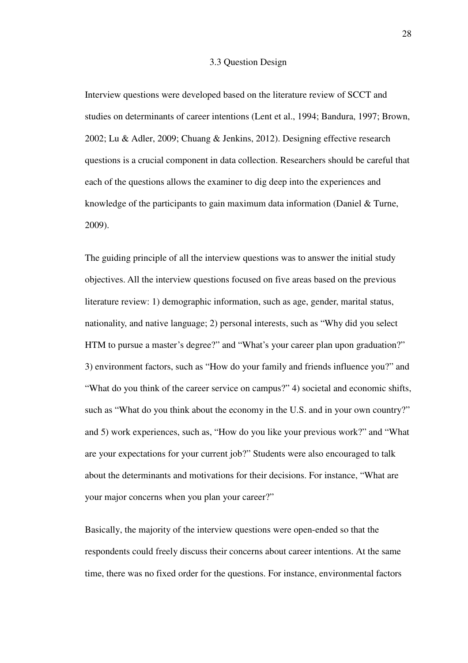#### 3.3 Question Design

Interview questions were developed based on the literature review of SCCT and studies on determinants of career intentions (Lent et al., 1994; Bandura, 1997; Brown, 2002; Lu & Adler, 2009; Chuang & Jenkins, 2012). Designing effective research questions is a crucial component in data collection. Researchers should be careful that each of the questions allows the examiner to dig deep into the experiences and knowledge of the participants to gain maximum data information (Daniel & Turne, 2009).

The guiding principle of all the interview questions was to answer the initial study objectives. All the interview questions focused on five areas based on the previous literature review: 1) demographic information, such as age, gender, marital status, nationality, and native language; 2) personal interests, such as "Why did you select HTM to pursue a master's degree?" and "What's your career plan upon graduation?" 3) environment factors, such as "How do your family and friends influence you?" and "What do you think of the career service on campus?" 4) societal and economic shifts, such as "What do you think about the economy in the U.S. and in your own country?" and 5) work experiences, such as, "How do you like your previous work?" and "What are your expectations for your current job?" Students were also encouraged to talk about the determinants and motivations for their decisions. For instance, "What are your major concerns when you plan your career?"

Basically, the majority of the interview questions were open-ended so that the respondents could freely discuss their concerns about career intentions. At the same time, there was no fixed order for the questions. For instance, environmental factors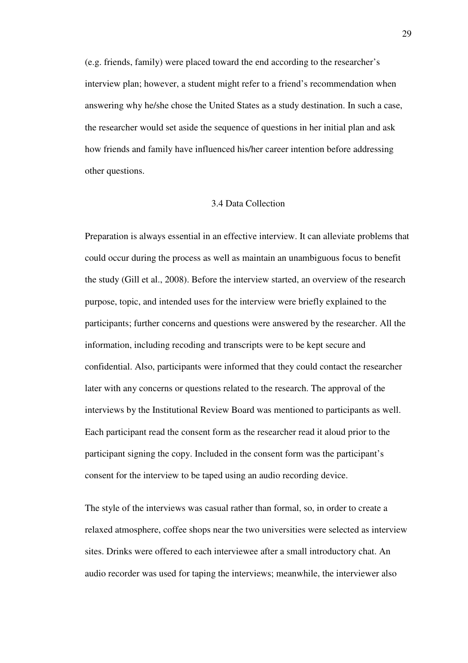(e.g. friends, family) were placed toward the end according to the researcher's interview plan; however, a student might refer to a friend's recommendation when answering why he/she chose the United States as a study destination. In such a case, the researcher would set aside the sequence of questions in her initial plan and ask how friends and family have influenced his/her career intention before addressing other questions.

#### 3.4 Data Collection

Preparation is always essential in an effective interview. It can alleviate problems that could occur during the process as well as maintain an unambiguous focus to benefit the study (Gill et al., 2008). Before the interview started, an overview of the research purpose, topic, and intended uses for the interview were briefly explained to the participants; further concerns and questions were answered by the researcher. All the information, including recoding and transcripts were to be kept secure and confidential. Also, participants were informed that they could contact the researcher later with any concerns or questions related to the research. The approval of the interviews by the Institutional Review Board was mentioned to participants as well. Each participant read the consent form as the researcher read it aloud prior to the participant signing the copy. Included in the consent form was the participant's consent for the interview to be taped using an audio recording device.

The style of the interviews was casual rather than formal, so, in order to create a relaxed atmosphere, coffee shops near the two universities were selected as interview sites. Drinks were offered to each interviewee after a small introductory chat. An audio recorder was used for taping the interviews; meanwhile, the interviewer also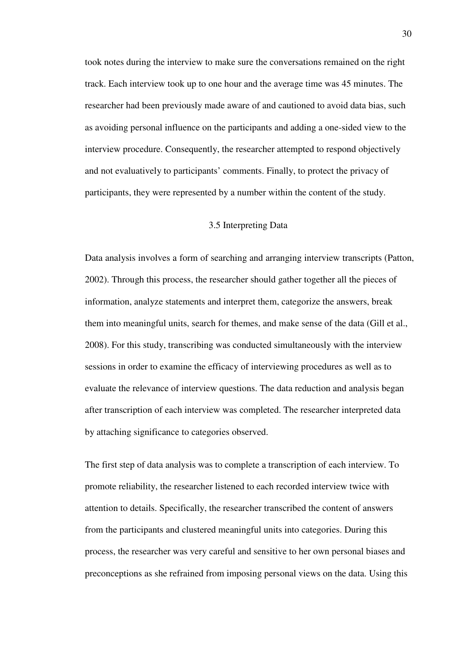took notes during the interview to make sure the conversations remained on the right track. Each interview took up to one hour and the average time was 45 minutes. The researcher had been previously made aware of and cautioned to avoid data bias, such as avoiding personal influence on the participants and adding a one-sided view to the interview procedure. Consequently, the researcher attempted to respond objectively and not evaluatively to participants' comments. Finally, to protect the privacy of participants, they were represented by a number within the content of the study.

## 3.5 Interpreting Data

Data analysis involves a form of searching and arranging interview transcripts (Patton, 2002). Through this process, the researcher should gather together all the pieces of information, analyze statements and interpret them, categorize the answers, break them into meaningful units, search for themes, and make sense of the data (Gill et al., 2008). For this study, transcribing was conducted simultaneously with the interview sessions in order to examine the efficacy of interviewing procedures as well as to evaluate the relevance of interview questions. The data reduction and analysis began after transcription of each interview was completed. The researcher interpreted data by attaching significance to categories observed.

The first step of data analysis was to complete a transcription of each interview. To promote reliability, the researcher listened to each recorded interview twice with attention to details. Specifically, the researcher transcribed the content of answers from the participants and clustered meaningful units into categories. During this process, the researcher was very careful and sensitive to her own personal biases and preconceptions as she refrained from imposing personal views on the data. Using this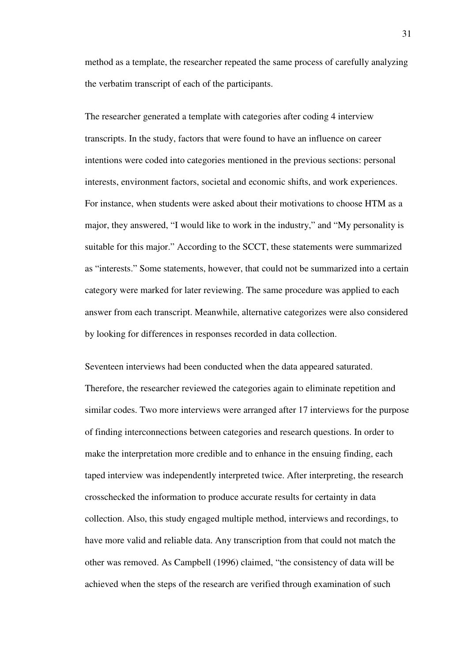method as a template, the researcher repeated the same process of carefully analyzing the verbatim transcript of each of the participants.

The researcher generated a template with categories after coding 4 interview transcripts. In the study, factors that were found to have an influence on career intentions were coded into categories mentioned in the previous sections: personal interests, environment factors, societal and economic shifts, and work experiences. For instance, when students were asked about their motivations to choose HTM as a major, they answered, "I would like to work in the industry," and "My personality is suitable for this major." According to the SCCT, these statements were summarized as "interests." Some statements, however, that could not be summarized into a certain category were marked for later reviewing. The same procedure was applied to each answer from each transcript. Meanwhile, alternative categorizes were also considered by looking for differences in responses recorded in data collection.

Seventeen interviews had been conducted when the data appeared saturated. Therefore, the researcher reviewed the categories again to eliminate repetition and similar codes. Two more interviews were arranged after 17 interviews for the purpose of finding interconnections between categories and research questions. In order to make the interpretation more credible and to enhance in the ensuing finding, each taped interview was independently interpreted twice. After interpreting, the research crosschecked the information to produce accurate results for certainty in data collection. Also, this study engaged multiple method, interviews and recordings, to have more valid and reliable data. Any transcription from that could not match the other was removed. As Campbell (1996) claimed, "the consistency of data will be achieved when the steps of the research are verified through examination of such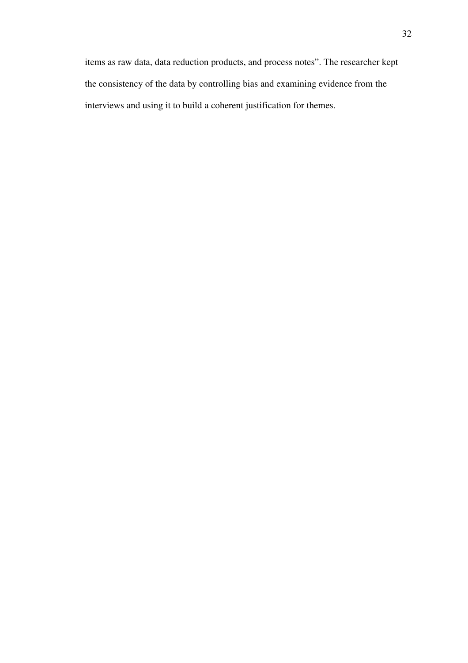items as raw data, data reduction products, and process notes". The researcher kept the consistency of the data by controlling bias and examining evidence from the interviews and using it to build a coherent justification for themes.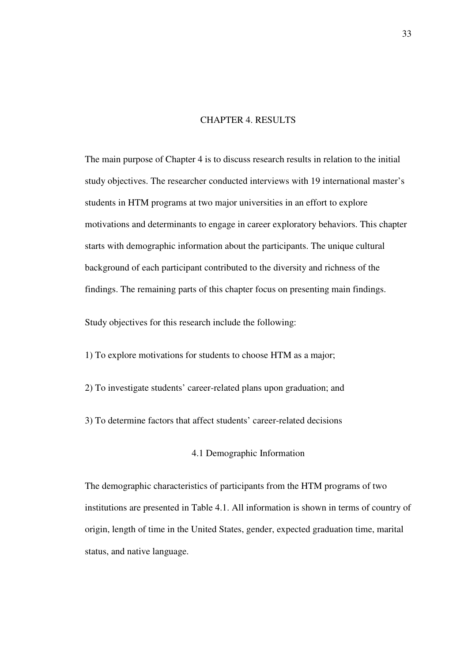## CHAPTER 4. RESULTS

The main purpose of Chapter 4 is to discuss research results in relation to the initial study objectives. The researcher conducted interviews with 19 international master's students in HTM programs at two major universities in an effort to explore motivations and determinants to engage in career exploratory behaviors. This chapter starts with demographic information about the participants. The unique cultural background of each participant contributed to the diversity and richness of the findings. The remaining parts of this chapter focus on presenting main findings.

Study objectives for this research include the following:

1) To explore motivations for students to choose HTM as a major;

2) To investigate students' career-related plans upon graduation; and

3) To determine factors that affect students' career-related decisions

4.1 Demographic Information

The demographic characteristics of participants from the HTM programs of two institutions are presented in Table 4.1. All information is shown in terms of country of origin, length of time in the United States, gender, expected graduation time, marital status, and native language.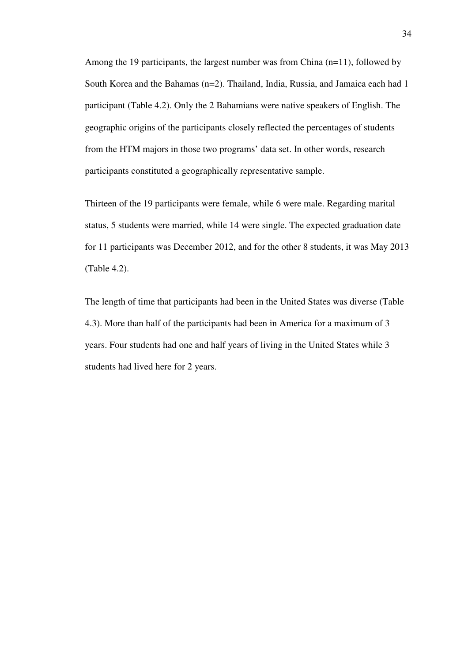Among the 19 participants, the largest number was from China (n=11), followed by South Korea and the Bahamas (n=2). Thailand, India, Russia, and Jamaica each had 1 participant (Table 4.2). Only the 2 Bahamians were native speakers of English. The geographic origins of the participants closely reflected the percentages of students from the HTM majors in those two programs' data set. In other words, research participants constituted a geographically representative sample.

Thirteen of the 19 participants were female, while 6 were male. Regarding marital status, 5 students were married, while 14 were single. The expected graduation date for 11 participants was December 2012, and for the other 8 students, it was May 2013 (Table 4.2).

The length of time that participants had been in the United States was diverse (Table 4.3). More than half of the participants had been in America for a maximum of 3 years. Four students had one and half years of living in the United States while 3 students had lived here for 2 years.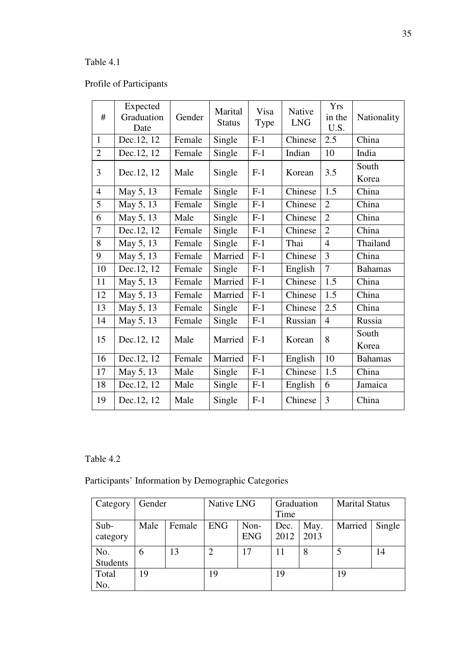# Table 4.1

# Profile of Participants

| #              | Expected<br>Graduation<br>Date | Gender | Marital<br><b>Status</b> | Visa<br>Type | <b>Native</b><br><b>LNG</b> | <b>Yrs</b><br>in the<br>U.S. | Nationality    |
|----------------|--------------------------------|--------|--------------------------|--------------|-----------------------------|------------------------------|----------------|
| $\mathbf{1}$   | Dec.12, 12                     | Female | Single                   | $F-1$        | Chinese                     | 2.5                          | China          |
| $\overline{2}$ | Dec.12, 12                     | Female | Single                   | $F-1$        | Indian                      | 10                           | India          |
| 3              | Dec.12, 12                     | Male   | Single                   | $F-1$        | Korean                      | 3.5                          | South<br>Korea |
| $\overline{4}$ | May 5, 13                      | Female | Single                   | $F-1$        | Chinese                     | 1.5                          | China          |
| 5              | May 5, 13                      | Female | Single                   | $F-1$        | Chinese                     | $\overline{2}$               | China          |
| 6              | May 5, 13                      | Male   | Single                   | $F-1$        | Chinese                     | $\overline{2}$               | China          |
| $\overline{7}$ | Dec.12, 12                     | Female | Single                   | $F-1$        | Chinese                     | $\overline{2}$               | China          |
| 8              | May 5, 13                      | Female | Single                   | $F-1$        | Thai                        | $\overline{4}$               | Thailand       |
| 9              | May 5, 13                      | Female | Married                  | $F-1$        | Chinese                     | 3                            | China          |
| 10             | Dec.12, 12                     | Female | Single                   | $F-1$        | English                     | $\overline{7}$               | <b>Bahamas</b> |
| 11             | May 5, 13                      | Female | Married                  | $F-1$        | Chinese                     | 1.5                          | China          |
| 12             | May 5, 13                      | Female | Married                  | $F-1$        | Chinese                     | 1.5                          | China          |
| 13             | May 5, 13                      | Female | Single                   | $F-1$        | Chinese                     | 2.5                          | China          |
| 14             | May 5, 13                      | Female | Single                   | $F-1$        | Russian                     | $\overline{4}$               | Russia         |
| 15             | Dec.12, 12                     | Male   | Married                  | $F-1$        | Korean                      | 8                            | South          |
|                |                                |        |                          |              |                             |                              | Korea          |
| 16             | Dec.12, 12                     | Female | Married                  | $F-1$        | English                     | 10                           | <b>Bahamas</b> |
| 17             | May 5, 13                      | Male   | Single                   | $F-1$        | Chinese                     | 1.5                          | China          |
| 18             | Dec.12, 12                     | Male   | Single                   | $F-1$        | English                     | 6                            | Jamaica        |
| 19             | Dec.12, 12                     | Male   | Single                   | $F-1$        | Chinese                     | 3                            | China          |

# Table 4.2

Participants' Information by Demographic Categories

| Category               | Gender |        | Native LNG     |                    | Graduation   |              | <b>Marital Status</b> |        |
|------------------------|--------|--------|----------------|--------------------|--------------|--------------|-----------------------|--------|
|                        |        |        |                |                    | Time         |              |                       |        |
| Sub-<br>category       | Male   | Female | <b>ENG</b>     | Non-<br><b>ENG</b> | Dec.<br>2012 | May.<br>2013 | Married               | Single |
| No.<br><b>Students</b> | 6      | 13     | $\overline{2}$ | 17                 | 11           | 8            |                       | 14     |
| Total<br>No.           | 19     |        | 19             |                    | 19           |              | 19                    |        |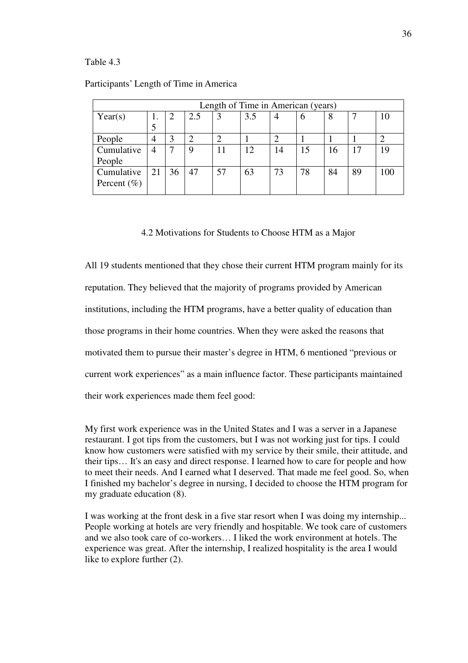#### Table 4.3

| Length of Time in American (years) |     |    |     |    |     |    |    |    |    |     |
|------------------------------------|-----|----|-----|----|-----|----|----|----|----|-----|
| Year(s)                            | . . |    | 2.5 | 3  | 3.5 | 4  | O  | 8  |    | 10  |
|                                    |     |    |     |    |     |    |    |    |    |     |
| People                             |     |    |     |    |     |    |    |    |    |     |
| Cumulative                         |     |    | 9   | 11 | 12  | 14 | 15 | 16 |    | 19  |
| People                             |     |    |     |    |     |    |    |    |    |     |
| Cumulative                         | 21  | 36 | 47  | 57 | 63  | 73 | 78 | 84 | 89 | 100 |
| Percent $(\% )$                    |     |    |     |    |     |    |    |    |    |     |

### Participants' Length of Time in America

### 4.2 Motivations for Students to Choose HTM as a Major

All 19 students mentioned that they chose their current HTM program mainly for its reputation. They believed that the majority of programs provided by American institutions, including the HTM programs, have a better quality of education than those programs in their home countries. When they were asked the reasons that motivated them to pursue their master's degree in HTM, 6 mentioned "previous or current work experiences" as a main influence factor. These participants maintained their work experiences made them feel good:

My first work experience was in the United States and I was a server in a Japanese restaurant. I got tips from the customers, but I was not working just for tips. I could know how customers were satisfied with my service by their smile, their attitude, and their tips… It's an easy and direct response. I learned how to care for people and how to meet their needs. And I earned what I deserved. That made me feel good. So, when I finished my bachelor's degree in nursing, I decided to choose the HTM program for my graduate education (8).

I was working at the front desk in a five star resort when I was doing my internship... People working at hotels are very friendly and hospitable. We took care of customers and we also took care of co-workers… I liked the work environment at hotels. The experience was great. After the internship, I realized hospitality is the area I would like to explore further (2).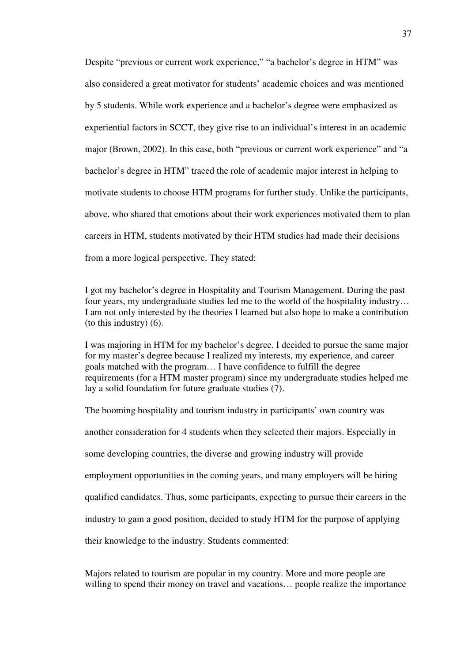Despite "previous or current work experience," "a bachelor's degree in HTM" was also considered a great motivator for students' academic choices and was mentioned by 5 students. While work experience and a bachelor's degree were emphasized as experiential factors in SCCT, they give rise to an individual's interest in an academic major (Brown, 2002). In this case, both "previous or current work experience" and "a bachelor's degree in HTM" traced the role of academic major interest in helping to motivate students to choose HTM programs for further study. Unlike the participants, above, who shared that emotions about their work experiences motivated them to plan careers in HTM, students motivated by their HTM studies had made their decisions from a more logical perspective. They stated:

I got my bachelor's degree in Hospitality and Tourism Management. During the past four years, my undergraduate studies led me to the world of the hospitality industry… I am not only interested by the theories I learned but also hope to make a contribution (to this industry) (6).

I was majoring in HTM for my bachelor's degree. I decided to pursue the same major for my master's degree because I realized my interests, my experience, and career goals matched with the program… I have confidence to fulfill the degree requirements (for a HTM master program) since my undergraduate studies helped me lay a solid foundation for future graduate studies (7).

The booming hospitality and tourism industry in participants' own country was another consideration for 4 students when they selected their majors. Especially in some developing countries, the diverse and growing industry will provide employment opportunities in the coming years, and many employers will be hiring qualified candidates. Thus, some participants, expecting to pursue their careers in the industry to gain a good position, decided to study HTM for the purpose of applying their knowledge to the industry. Students commented:

Majors related to tourism are popular in my country. More and more people are willing to spend their money on travel and vacations... people realize the importance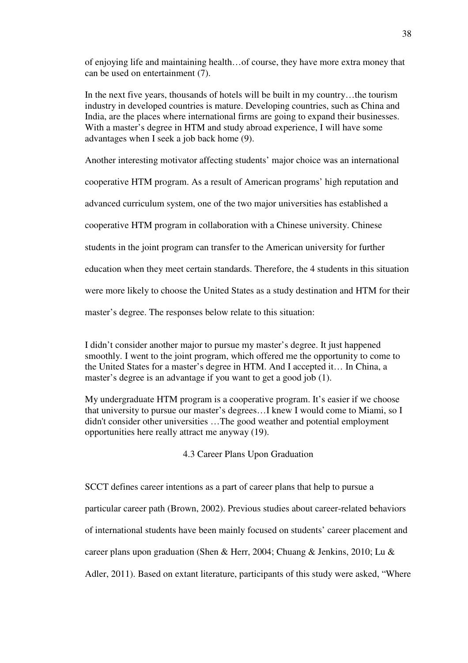of enjoying life and maintaining health…of course, they have more extra money that can be used on entertainment (7).

In the next five years, thousands of hotels will be built in my country…the tourism industry in developed countries is mature. Developing countries, such as China and India, are the places where international firms are going to expand their businesses. With a master's degree in HTM and study abroad experience, I will have some advantages when I seek a job back home (9).

Another interesting motivator affecting students' major choice was an international

cooperative HTM program. As a result of American programs' high reputation and

advanced curriculum system, one of the two major universities has established a

cooperative HTM program in collaboration with a Chinese university. Chinese

students in the joint program can transfer to the American university for further

education when they meet certain standards. Therefore, the 4 students in this situation

were more likely to choose the United States as a study destination and HTM for their

master's degree. The responses below relate to this situation:

I didn't consider another major to pursue my master's degree. It just happened smoothly. I went to the joint program, which offered me the opportunity to come to the United States for a master's degree in HTM. And I accepted it… In China, a master's degree is an advantage if you want to get a good job (1).

My undergraduate HTM program is a cooperative program. It's easier if we choose that university to pursue our master's degrees…I knew I would come to Miami, so I didn't consider other universities …The good weather and potential employment opportunities here really attract me anyway (19).

4.3 Career Plans Upon Graduation

SCCT defines career intentions as a part of career plans that help to pursue a particular career path (Brown, 2002). Previous studies about career-related behaviors of international students have been mainly focused on students' career placement and career plans upon graduation (Shen & Herr, 2004; Chuang & Jenkins, 2010; Lu & Adler, 2011). Based on extant literature, participants of this study were asked, "Where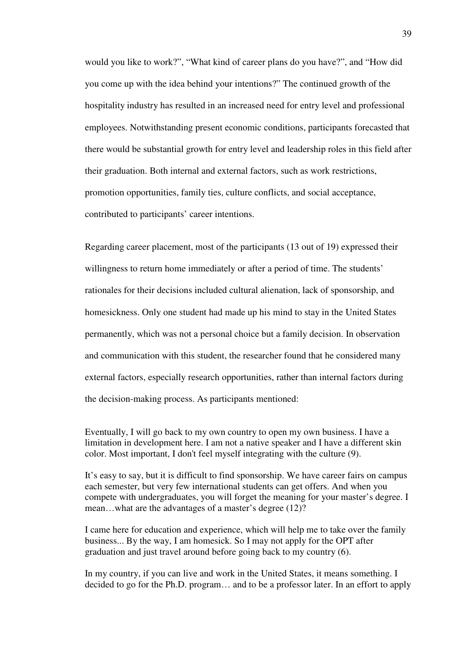would you like to work?", "What kind of career plans do you have?", and "How did you come up with the idea behind your intentions?" The continued growth of the hospitality industry has resulted in an increased need for entry level and professional employees. Notwithstanding present economic conditions, participants forecasted that there would be substantial growth for entry level and leadership roles in this field after their graduation. Both internal and external factors, such as work restrictions, promotion opportunities, family ties, culture conflicts, and social acceptance, contributed to participants' career intentions.

Regarding career placement, most of the participants (13 out of 19) expressed their willingness to return home immediately or after a period of time. The students' rationales for their decisions included cultural alienation, lack of sponsorship, and homesickness. Only one student had made up his mind to stay in the United States permanently, which was not a personal choice but a family decision. In observation and communication with this student, the researcher found that he considered many external factors, especially research opportunities, rather than internal factors during the decision-making process. As participants mentioned:

Eventually, I will go back to my own country to open my own business. I have a limitation in development here. I am not a native speaker and I have a different skin color. Most important, I don't feel myself integrating with the culture (9).

It's easy to say, but it is difficult to find sponsorship. We have career fairs on campus each semester, but very few international students can get offers. And when you compete with undergraduates, you will forget the meaning for your master's degree. I mean…what are the advantages of a master's degree (12)?

I came here for education and experience, which will help me to take over the family business... By the way, I am homesick. So I may not apply for the OPT after graduation and just travel around before going back to my country (6).

In my country, if you can live and work in the United States, it means something. I decided to go for the Ph.D. program… and to be a professor later. In an effort to apply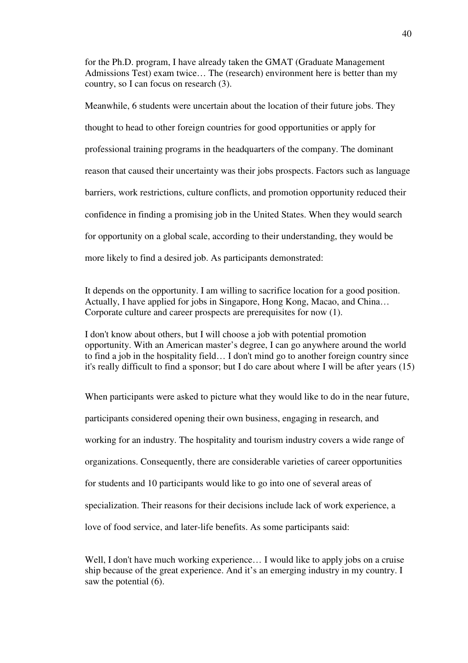for the Ph.D. program, I have already taken the GMAT (Graduate Management Admissions Test) exam twice… The (research) environment here is better than my country, so I can focus on research (3).

Meanwhile, 6 students were uncertain about the location of their future jobs. They thought to head to other foreign countries for good opportunities or apply for professional training programs in the headquarters of the company. The dominant reason that caused their uncertainty was their jobs prospects. Factors such as language barriers, work restrictions, culture conflicts, and promotion opportunity reduced their confidence in finding a promising job in the United States. When they would search for opportunity on a global scale, according to their understanding, they would be more likely to find a desired job. As participants demonstrated:

It depends on the opportunity. I am willing to sacrifice location for a good position. Actually, I have applied for jobs in Singapore, Hong Kong, Macao, and China… Corporate culture and career prospects are prerequisites for now (1).

I don't know about others, but I will choose a job with potential promotion opportunity. With an American master's degree, I can go anywhere around the world to find a job in the hospitality field… I don't mind go to another foreign country since it's really difficult to find a sponsor; but I do care about where I will be after years (15)

When participants were asked to picture what they would like to do in the near future, participants considered opening their own business, engaging in research, and working for an industry. The hospitality and tourism industry covers a wide range of organizations. Consequently, there are considerable varieties of career opportunities for students and 10 participants would like to go into one of several areas of specialization. Their reasons for their decisions include lack of work experience, a love of food service, and later-life benefits. As some participants said:

Well, I don't have much working experience... I would like to apply jobs on a cruise ship because of the great experience. And it's an emerging industry in my country. I saw the potential (6).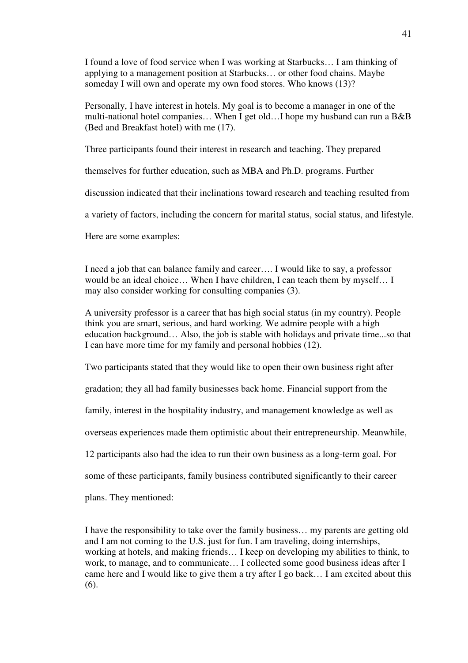I found a love of food service when I was working at Starbucks… I am thinking of applying to a management position at Starbucks… or other food chains. Maybe someday I will own and operate my own food stores. Who knows (13)?

Personally, I have interest in hotels. My goal is to become a manager in one of the multi-national hotel companies… When I get old…I hope my husband can run a B&B (Bed and Breakfast hotel) with me (17).

Three participants found their interest in research and teaching. They prepared

themselves for further education, such as MBA and Ph.D. programs. Further

discussion indicated that their inclinations toward research and teaching resulted from

a variety of factors, including the concern for marital status, social status, and lifestyle.

Here are some examples:

I need a job that can balance family and career…. I would like to say, a professor would be an ideal choice… When I have children, I can teach them by myself… I may also consider working for consulting companies (3).

A university professor is a career that has high social status (in my country). People think you are smart, serious, and hard working. We admire people with a high education background… Also, the job is stable with holidays and private time...so that I can have more time for my family and personal hobbies (12).

Two participants stated that they would like to open their own business right after

gradation; they all had family businesses back home. Financial support from the

family, interest in the hospitality industry, and management knowledge as well as

overseas experiences made them optimistic about their entrepreneurship. Meanwhile,

12 participants also had the idea to run their own business as a long-term goal. For

some of these participants, family business contributed significantly to their career

plans. They mentioned:

I have the responsibility to take over the family business… my parents are getting old and I am not coming to the U.S. just for fun. I am traveling, doing internships, working at hotels, and making friends… I keep on developing my abilities to think, to work, to manage, and to communicate… I collected some good business ideas after I came here and I would like to give them a try after I go back… I am excited about this (6).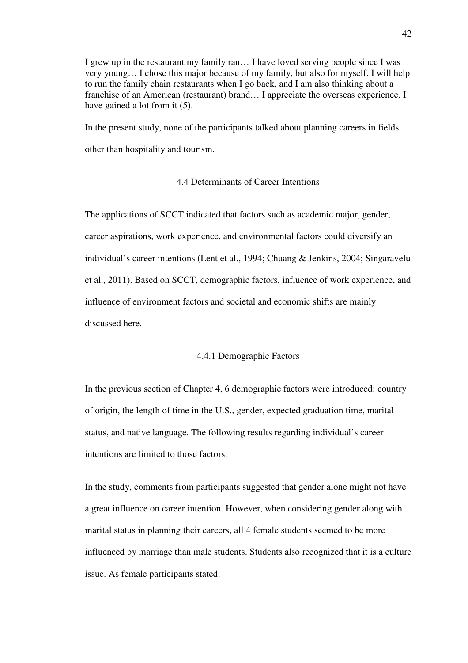I grew up in the restaurant my family ran… I have loved serving people since I was very young… I chose this major because of my family, but also for myself. I will help to run the family chain restaurants when I go back, and I am also thinking about a franchise of an American (restaurant) brand… I appreciate the overseas experience. I have gained a lot from it (5).

In the present study, none of the participants talked about planning careers in fields other than hospitality and tourism.

## 4.4 Determinants of Career Intentions

The applications of SCCT indicated that factors such as academic major, gender, career aspirations, work experience, and environmental factors could diversify an individual's career intentions (Lent et al., 1994; Chuang & Jenkins, 2004; Singaravelu et al., 2011). Based on SCCT, demographic factors, influence of work experience, and influence of environment factors and societal and economic shifts are mainly discussed here.

#### 4.4.1 Demographic Factors

In the previous section of Chapter 4, 6 demographic factors were introduced: country of origin, the length of time in the U.S., gender, expected graduation time, marital status, and native language. The following results regarding individual's career intentions are limited to those factors.

In the study, comments from participants suggested that gender alone might not have a great influence on career intention. However, when considering gender along with marital status in planning their careers, all 4 female students seemed to be more influenced by marriage than male students. Students also recognized that it is a culture issue. As female participants stated: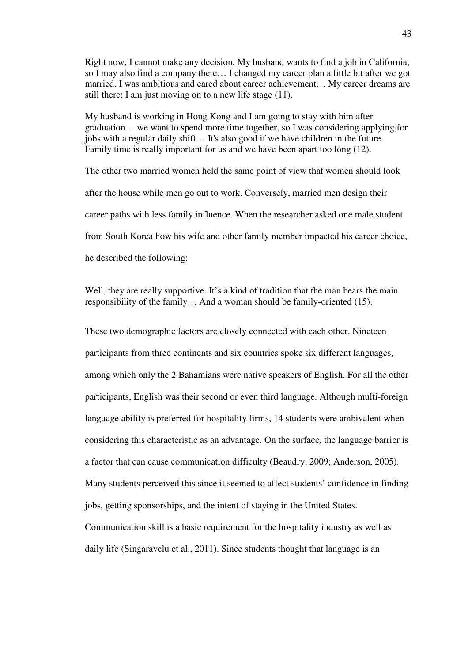Right now, I cannot make any decision. My husband wants to find a job in California, so I may also find a company there… I changed my career plan a little bit after we got married. I was ambitious and cared about career achievement… My career dreams are still there; I am just moving on to a new life stage (11).

My husband is working in Hong Kong and I am going to stay with him after graduation… we want to spend more time together, so I was considering applying for jobs with a regular daily shift… It's also good if we have children in the future. Family time is really important for us and we have been apart too long (12).

The other two married women held the same point of view that women should look after the house while men go out to work. Conversely, married men design their career paths with less family influence. When the researcher asked one male student from South Korea how his wife and other family member impacted his career choice, he described the following:

Well, they are really supportive. It's a kind of tradition that the man bears the main responsibility of the family… And a woman should be family-oriented (15).

These two demographic factors are closely connected with each other. Nineteen participants from three continents and six countries spoke six different languages, among which only the 2 Bahamians were native speakers of English. For all the other participants, English was their second or even third language. Although multi-foreign language ability is preferred for hospitality firms, 14 students were ambivalent when considering this characteristic as an advantage. On the surface, the language barrier is a factor that can cause communication difficulty (Beaudry, 2009; Anderson, 2005). Many students perceived this since it seemed to affect students' confidence in finding jobs, getting sponsorships, and the intent of staying in the United States. Communication skill is a basic requirement for the hospitality industry as well as daily life (Singaravelu et al., 2011). Since students thought that language is an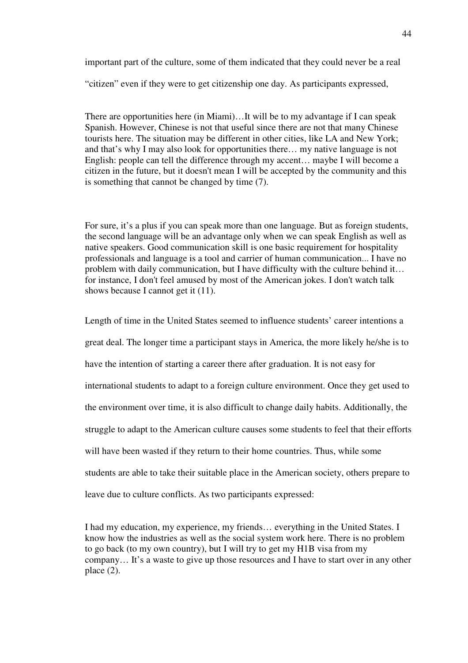important part of the culture, some of them indicated that they could never be a real

"citizen" even if they were to get citizenship one day. As participants expressed,

There are opportunities here (in Miami)…It will be to my advantage if I can speak Spanish. However, Chinese is not that useful since there are not that many Chinese tourists here. The situation may be different in other cities, like LA and New York; and that's why I may also look for opportunities there… my native language is not English: people can tell the difference through my accent… maybe I will become a citizen in the future, but it doesn't mean I will be accepted by the community and this is something that cannot be changed by time (7).

For sure, it's a plus if you can speak more than one language. But as foreign students, the second language will be an advantage only when we can speak English as well as native speakers. Good communication skill is one basic requirement for hospitality professionals and language is a tool and carrier of human communication... I have no problem with daily communication, but I have difficulty with the culture behind it… for instance, I don't feel amused by most of the American jokes. I don't watch talk shows because I cannot get it  $(11)$ .

Length of time in the United States seemed to influence students' career intentions a

great deal. The longer time a participant stays in America, the more likely he/she is to

have the intention of starting a career there after graduation. It is not easy for

international students to adapt to a foreign culture environment. Once they get used to

the environment over time, it is also difficult to change daily habits. Additionally, the

struggle to adapt to the American culture causes some students to feel that their efforts

will have been wasted if they return to their home countries. Thus, while some

students are able to take their suitable place in the American society, others prepare to

leave due to culture conflicts. As two participants expressed:

I had my education, my experience, my friends… everything in the United States. I know how the industries as well as the social system work here. There is no problem to go back (to my own country), but I will try to get my H1B visa from my company… It's a waste to give up those resources and I have to start over in any other place (2).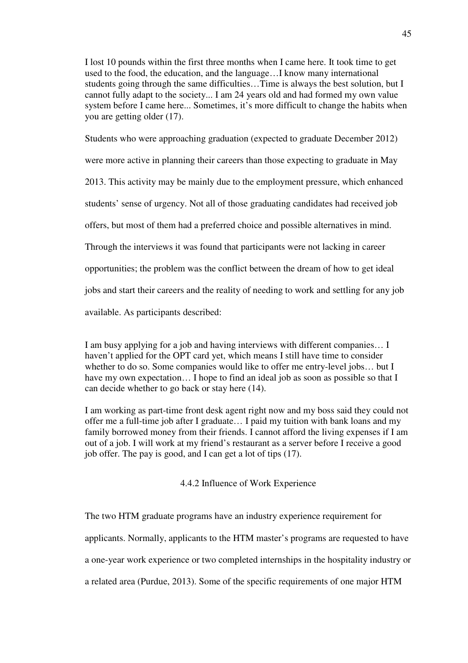I lost 10 pounds within the first three months when I came here. It took time to get used to the food, the education, and the language…I know many international students going through the same difficulties…Time is always the best solution, but I cannot fully adapt to the society... I am 24 years old and had formed my own value system before I came here... Sometimes, it's more difficult to change the habits when you are getting older (17).

Students who were approaching graduation (expected to graduate December 2012) were more active in planning their careers than those expecting to graduate in May

2013. This activity may be mainly due to the employment pressure, which enhanced

students' sense of urgency. Not all of those graduating candidates had received job

offers, but most of them had a preferred choice and possible alternatives in mind.

Through the interviews it was found that participants were not lacking in career

opportunities; the problem was the conflict between the dream of how to get ideal

jobs and start their careers and the reality of needing to work and settling for any job

available. As participants described:

I am busy applying for a job and having interviews with different companies… I haven't applied for the OPT card yet, which means I still have time to consider whether to do so. Some companies would like to offer me entry-level jobs... but I have my own expectation... I hope to find an ideal job as soon as possible so that I can decide whether to go back or stay here (14).

I am working as part-time front desk agent right now and my boss said they could not offer me a full-time job after I graduate… I paid my tuition with bank loans and my family borrowed money from their friends. I cannot afford the living expenses if I am out of a job. I will work at my friend's restaurant as a server before I receive a good job offer. The pay is good, and I can get a lot of tips (17).

4.4.2 Influence of Work Experience

The two HTM graduate programs have an industry experience requirement for

applicants. Normally, applicants to the HTM master's programs are requested to have

a one-year work experience or two completed internships in the hospitality industry or

a related area (Purdue, 2013). Some of the specific requirements of one major HTM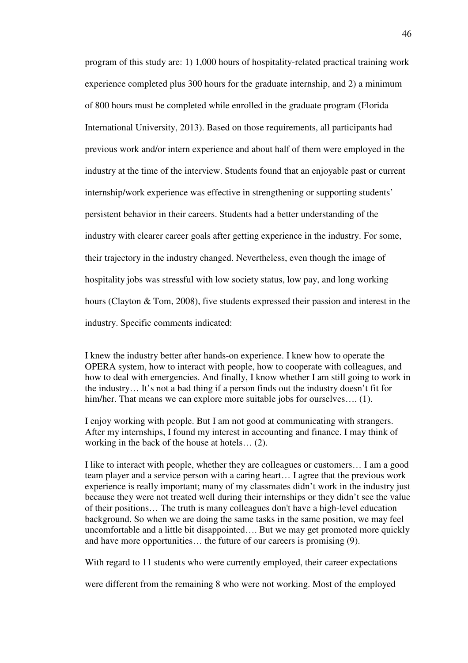program of this study are: 1) 1,000 hours of hospitality-related practical training work experience completed plus 300 hours for the graduate internship, and 2) a minimum of 800 hours must be completed while enrolled in the graduate program (Florida International University, 2013). Based on those requirements, all participants had previous work and/or intern experience and about half of them were employed in the industry at the time of the interview. Students found that an enjoyable past or current internship/work experience was effective in strengthening or supporting students' persistent behavior in their careers. Students had a better understanding of the industry with clearer career goals after getting experience in the industry. For some, their trajectory in the industry changed. Nevertheless, even though the image of hospitality jobs was stressful with low society status, low pay, and long working hours (Clayton & Tom, 2008), five students expressed their passion and interest in the industry. Specific comments indicated:

I knew the industry better after hands-on experience. I knew how to operate the OPERA system, how to interact with people, how to cooperate with colleagues, and how to deal with emergencies. And finally, I know whether I am still going to work in the industry… It's not a bad thing if a person finds out the industry doesn't fit for him/her. That means we can explore more suitable jobs for ourselves.... (1).

I enjoy working with people. But I am not good at communicating with strangers. After my internships, I found my interest in accounting and finance. I may think of working in the back of the house at hotels… (2).

I like to interact with people, whether they are colleagues or customers… I am a good team player and a service person with a caring heart… I agree that the previous work experience is really important; many of my classmates didn't work in the industry just because they were not treated well during their internships or they didn't see the value of their positions… The truth is many colleagues don't have a high-level education background. So when we are doing the same tasks in the same position, we may feel uncomfortable and a little bit disappointed…. But we may get promoted more quickly and have more opportunities… the future of our careers is promising (9).

With regard to 11 students who were currently employed, their career expectations

were different from the remaining 8 who were not working. Most of the employed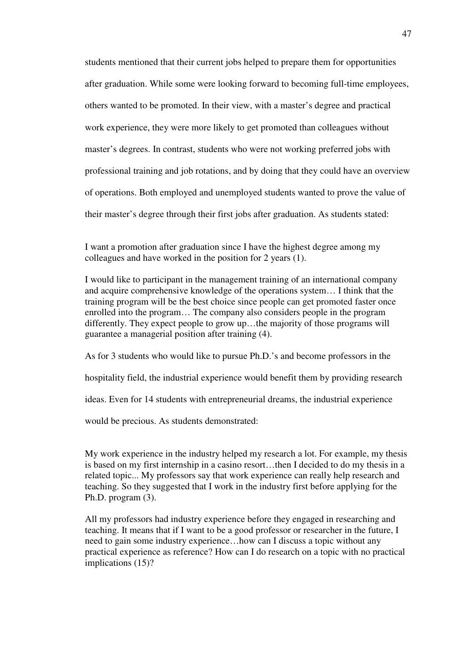students mentioned that their current jobs helped to prepare them for opportunities after graduation. While some were looking forward to becoming full-time employees, others wanted to be promoted. In their view, with a master's degree and practical work experience, they were more likely to get promoted than colleagues without master's degrees. In contrast, students who were not working preferred jobs with professional training and job rotations, and by doing that they could have an overview of operations. Both employed and unemployed students wanted to prove the value of their master's degree through their first jobs after graduation. As students stated:

I want a promotion after graduation since I have the highest degree among my colleagues and have worked in the position for 2 years (1).

I would like to participant in the management training of an international company and acquire comprehensive knowledge of the operations system… I think that the training program will be the best choice since people can get promoted faster once enrolled into the program… The company also considers people in the program differently. They expect people to grow up…the majority of those programs will guarantee a managerial position after training (4).

As for 3 students who would like to pursue Ph.D.'s and become professors in the

hospitality field, the industrial experience would benefit them by providing research

ideas. Even for 14 students with entrepreneurial dreams, the industrial experience

would be precious. As students demonstrated:

My work experience in the industry helped my research a lot. For example, my thesis is based on my first internship in a casino resort…then I decided to do my thesis in a related topic... My professors say that work experience can really help research and teaching. So they suggested that I work in the industry first before applying for the Ph.D. program (3).

All my professors had industry experience before they engaged in researching and teaching. It means that if I want to be a good professor or researcher in the future, I need to gain some industry experience…how can I discuss a topic without any practical experience as reference? How can I do research on a topic with no practical implications (15)?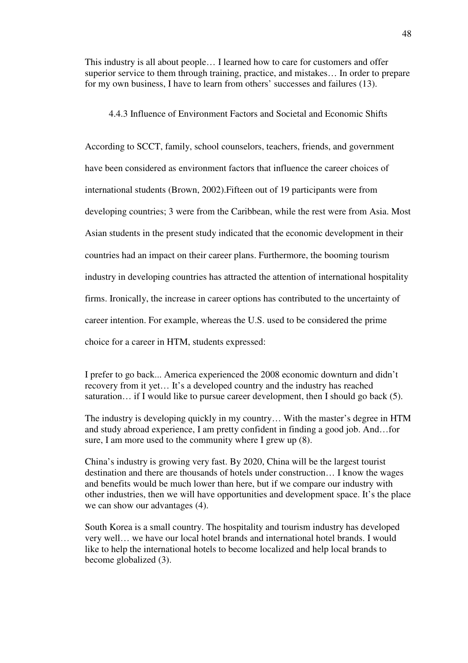This industry is all about people… I learned how to care for customers and offer superior service to them through training, practice, and mistakes… In order to prepare for my own business, I have to learn from others' successes and failures (13).

### 4.4.3 Influence of Environment Factors and Societal and Economic Shifts

According to SCCT, family, school counselors, teachers, friends, and government have been considered as environment factors that influence the career choices of international students (Brown, 2002).Fifteen out of 19 participants were from developing countries; 3 were from the Caribbean, while the rest were from Asia. Most Asian students in the present study indicated that the economic development in their countries had an impact on their career plans. Furthermore, the booming tourism industry in developing countries has attracted the attention of international hospitality firms. Ironically, the increase in career options has contributed to the uncertainty of career intention. For example, whereas the U.S. used to be considered the prime choice for a career in HTM, students expressed:

I prefer to go back... America experienced the 2008 economic downturn and didn't recovery from it yet… It's a developed country and the industry has reached saturation… if I would like to pursue career development, then I should go back (5).

The industry is developing quickly in my country… With the master's degree in HTM and study abroad experience, I am pretty confident in finding a good job. And…for sure, I am more used to the community where I grew up (8).

China's industry is growing very fast. By 2020, China will be the largest tourist destination and there are thousands of hotels under construction… I know the wages and benefits would be much lower than here, but if we compare our industry with other industries, then we will have opportunities and development space. It's the place we can show our advantages (4).

South Korea is a small country. The hospitality and tourism industry has developed very well… we have our local hotel brands and international hotel brands. I would like to help the international hotels to become localized and help local brands to become globalized (3).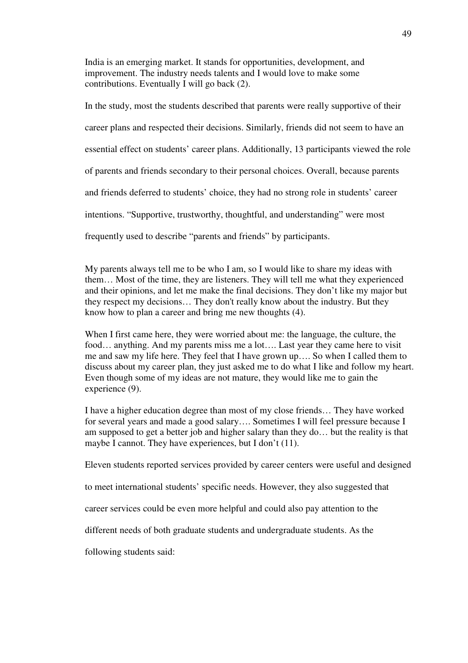India is an emerging market. It stands for opportunities, development, and improvement. The industry needs talents and I would love to make some contributions. Eventually I will go back (2).

In the study, most the students described that parents were really supportive of their career plans and respected their decisions. Similarly, friends did not seem to have an essential effect on students' career plans. Additionally, 13 participants viewed the role of parents and friends secondary to their personal choices. Overall, because parents and friends deferred to students' choice, they had no strong role in students' career intentions. "Supportive, trustworthy, thoughtful, and understanding" were most frequently used to describe "parents and friends" by participants.

My parents always tell me to be who I am, so I would like to share my ideas with them… Most of the time, they are listeners. They will tell me what they experienced and their opinions, and let me make the final decisions. They don't like my major but they respect my decisions… They don't really know about the industry. But they know how to plan a career and bring me new thoughts (4).

When I first came here, they were worried about me: the language, the culture, the food… anything. And my parents miss me a lot…. Last year they came here to visit me and saw my life here. They feel that I have grown up…. So when I called them to discuss about my career plan, they just asked me to do what I like and follow my heart. Even though some of my ideas are not mature, they would like me to gain the experience (9).

I have a higher education degree than most of my close friends… They have worked for several years and made a good salary…. Sometimes I will feel pressure because I am supposed to get a better job and higher salary than they do… but the reality is that maybe I cannot. They have experiences, but I don't (11).

Eleven students reported services provided by career centers were useful and designed

to meet international students' specific needs. However, they also suggested that

career services could be even more helpful and could also pay attention to the

different needs of both graduate students and undergraduate students. As the

following students said: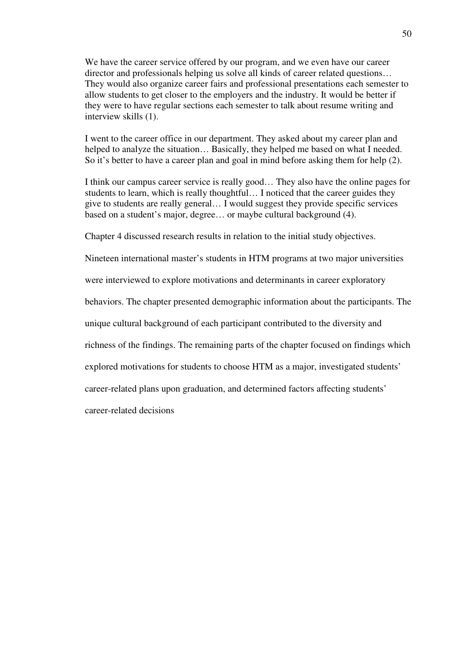We have the career service offered by our program, and we even have our career director and professionals helping us solve all kinds of career related questions… They would also organize career fairs and professional presentations each semester to allow students to get closer to the employers and the industry. It would be better if they were to have regular sections each semester to talk about resume writing and interview skills (1).

I went to the career office in our department. They asked about my career plan and helped to analyze the situation... Basically, they helped me based on what I needed. So it's better to have a career plan and goal in mind before asking them for help (2).

I think our campus career service is really good… They also have the online pages for students to learn, which is really thoughtful… I noticed that the career guides they give to students are really general… I would suggest they provide specific services based on a student's major, degree… or maybe cultural background (4).

Chapter 4 discussed research results in relation to the initial study objectives.

Nineteen international master's students in HTM programs at two major universities

were interviewed to explore motivations and determinants in career exploratory

behaviors. The chapter presented demographic information about the participants. The

unique cultural background of each participant contributed to the diversity and

richness of the findings. The remaining parts of the chapter focused on findings which

explored motivations for students to choose HTM as a major, investigated students'

career-related plans upon graduation, and determined factors affecting students'

career-related decisions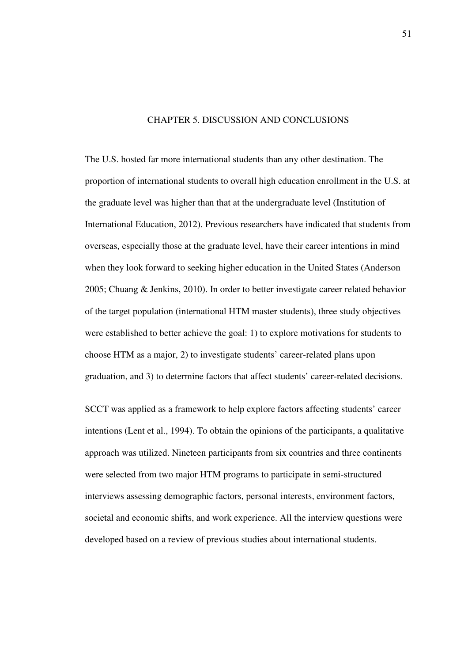#### CHAPTER 5. DISCUSSION AND CONCLUSIONS

The U.S. hosted far more international students than any other destination. The proportion of international students to overall high education enrollment in the U.S. at the graduate level was higher than that at the undergraduate level (Institution of International Education, 2012). Previous researchers have indicated that students from overseas, especially those at the graduate level, have their career intentions in mind when they look forward to seeking higher education in the United States (Anderson 2005; Chuang & Jenkins, 2010). In order to better investigate career related behavior of the target population (international HTM master students), three study objectives were established to better achieve the goal: 1) to explore motivations for students to choose HTM as a major, 2) to investigate students' career-related plans upon graduation, and 3) to determine factors that affect students' career-related decisions.

SCCT was applied as a framework to help explore factors affecting students' career intentions (Lent et al., 1994). To obtain the opinions of the participants, a qualitative approach was utilized. Nineteen participants from six countries and three continents were selected from two major HTM programs to participate in semi-structured interviews assessing demographic factors, personal interests, environment factors, societal and economic shifts, and work experience. All the interview questions were developed based on a review of previous studies about international students.

51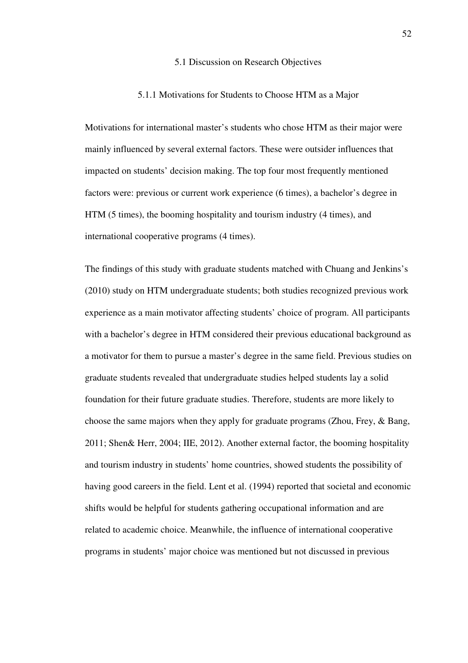## 5.1 Discussion on Research Objectives

### 5.1.1 Motivations for Students to Choose HTM as a Major

Motivations for international master's students who chose HTM as their major were mainly influenced by several external factors. These were outsider influences that impacted on students' decision making. The top four most frequently mentioned factors were: previous or current work experience (6 times), a bachelor's degree in HTM (5 times), the booming hospitality and tourism industry (4 times), and international cooperative programs (4 times).

The findings of this study with graduate students matched with Chuang and Jenkins's (2010) study on HTM undergraduate students; both studies recognized previous work experience as a main motivator affecting students' choice of program. All participants with a bachelor's degree in HTM considered their previous educational background as a motivator for them to pursue a master's degree in the same field. Previous studies on graduate students revealed that undergraduate studies helped students lay a solid foundation for their future graduate studies. Therefore, students are more likely to choose the same majors when they apply for graduate programs (Zhou, Frey, & Bang, 2011; Shen& Herr, 2004; IIE, 2012). Another external factor, the booming hospitality and tourism industry in students' home countries, showed students the possibility of having good careers in the field. Lent et al. (1994) reported that societal and economic shifts would be helpful for students gathering occupational information and are related to academic choice. Meanwhile, the influence of international cooperative programs in students' major choice was mentioned but not discussed in previous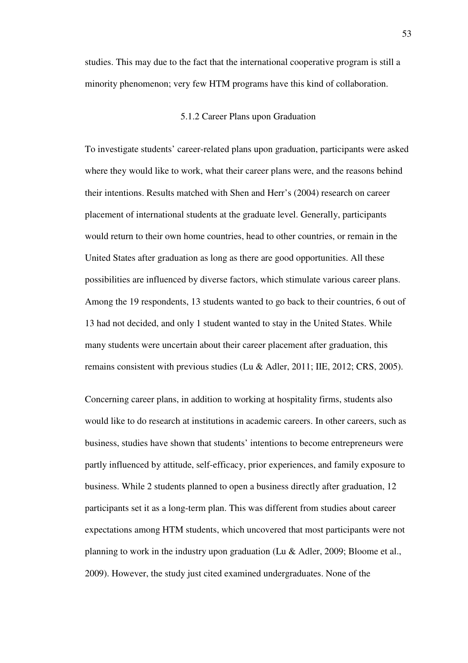studies. This may due to the fact that the international cooperative program is still a minority phenomenon; very few HTM programs have this kind of collaboration.

### 5.1.2 Career Plans upon Graduation

To investigate students' career-related plans upon graduation, participants were asked where they would like to work, what their career plans were, and the reasons behind their intentions. Results matched with Shen and Herr's (2004) research on career placement of international students at the graduate level. Generally, participants would return to their own home countries, head to other countries, or remain in the United States after graduation as long as there are good opportunities. All these possibilities are influenced by diverse factors, which stimulate various career plans. Among the 19 respondents, 13 students wanted to go back to their countries, 6 out of 13 had not decided, and only 1 student wanted to stay in the United States. While many students were uncertain about their career placement after graduation, this remains consistent with previous studies (Lu & Adler, 2011; IIE, 2012; CRS, 2005).

Concerning career plans, in addition to working at hospitality firms, students also would like to do research at institutions in academic careers. In other careers, such as business, studies have shown that students' intentions to become entrepreneurs were partly influenced by attitude, self-efficacy, prior experiences, and family exposure to business. While 2 students planned to open a business directly after graduation, 12 participants set it as a long-term plan. This was different from studies about career expectations among HTM students, which uncovered that most participants were not planning to work in the industry upon graduation (Lu & Adler, 2009; Bloome et al., 2009). However, the study just cited examined undergraduates. None of the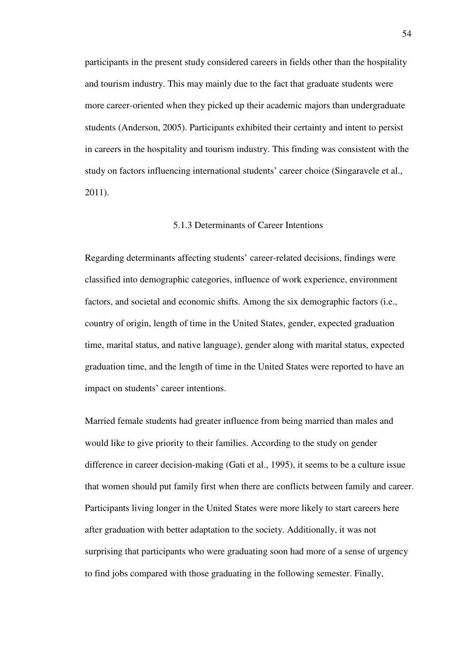participants in the present study considered careers in fields other than the hospitality and tourism industry. This may mainly due to the fact that graduate students were more career-oriented when they picked up their academic majors than undergraduate students (Anderson, 2005). Participants exhibited their certainty and intent to persist in careers in the hospitality and tourism industry. This finding was consistent with the study on factors influencing international students' career choice (Singaravele et al., 2011).

#### 5.1.3 Determinants of Career Intentions

Regarding determinants affecting students' career-related decisions, findings were classified into demographic categories, influence of work experience, environment factors, and societal and economic shifts. Among the six demographic factors (i.e., country of origin, length of time in the United States, gender, expected graduation time, marital status, and native language), gender along with marital status, expected graduation time, and the length of time in the United States were reported to have an impact on students' career intentions.

Married female students had greater influence from being married than males and would like to give priority to their families. According to the study on gender difference in career decision-making (Gati et al., 1995), it seems to be a culture issue that women should put family first when there are conflicts between family and career. Participants living longer in the United States were more likely to start careers here after graduation with better adaptation to the society. Additionally, it was not surprising that participants who were graduating soon had more of a sense of urgency to find jobs compared with those graduating in the following semester. Finally,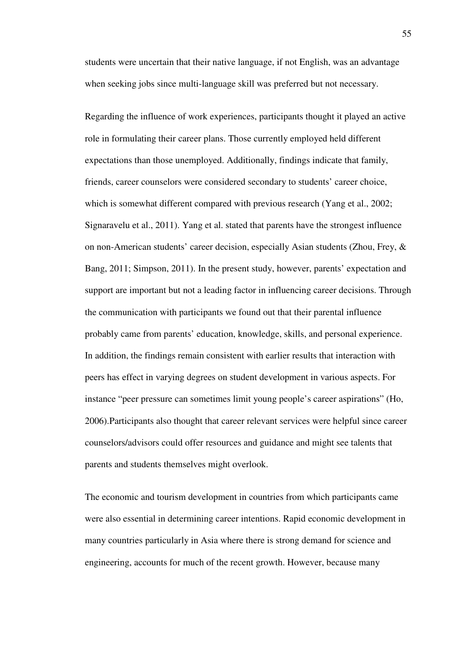students were uncertain that their native language, if not English, was an advantage when seeking jobs since multi-language skill was preferred but not necessary.

Regarding the influence of work experiences, participants thought it played an active role in formulating their career plans. Those currently employed held different expectations than those unemployed. Additionally, findings indicate that family, friends, career counselors were considered secondary to students' career choice, which is somewhat different compared with previous research (Yang et al., 2002; Signaravelu et al., 2011). Yang et al. stated that parents have the strongest influence on non-American students' career decision, especially Asian students (Zhou, Frey, & Bang, 2011; Simpson, 2011). In the present study, however, parents' expectation and support are important but not a leading factor in influencing career decisions. Through the communication with participants we found out that their parental influence probably came from parents' education, knowledge, skills, and personal experience. In addition, the findings remain consistent with earlier results that interaction with peers has effect in varying degrees on student development in various aspects. For instance "peer pressure can sometimes limit young people's career aspirations" (Ho, 2006).Participants also thought that career relevant services were helpful since career counselors/advisors could offer resources and guidance and might see talents that parents and students themselves might overlook.

The economic and tourism development in countries from which participants came were also essential in determining career intentions. Rapid economic development in many countries particularly in Asia where there is strong demand for science and engineering, accounts for much of the recent growth. However, because many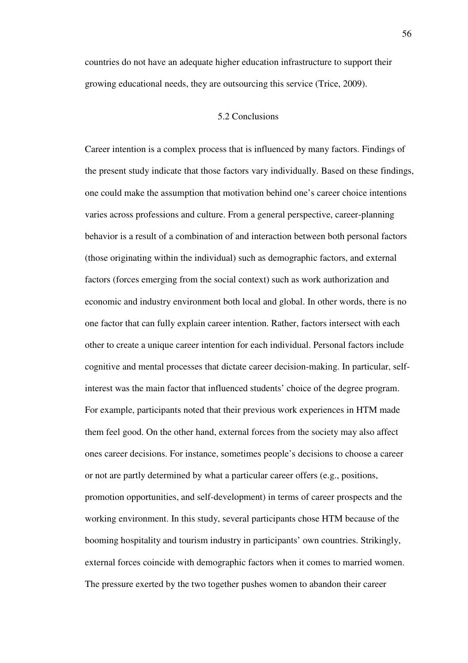countries do not have an adequate higher education infrastructure to support their growing educational needs, they are outsourcing this service (Trice, 2009).

## 5.2 Conclusions

Career intention is a complex process that is influenced by many factors. Findings of the present study indicate that those factors vary individually. Based on these findings, one could make the assumption that motivation behind one's career choice intentions varies across professions and culture. From a general perspective, career-planning behavior is a result of a combination of and interaction between both personal factors (those originating within the individual) such as demographic factors, and external factors (forces emerging from the social context) such as work authorization and economic and industry environment both local and global. In other words, there is no one factor that can fully explain career intention. Rather, factors intersect with each other to create a unique career intention for each individual. Personal factors include cognitive and mental processes that dictate career decision-making. In particular, selfinterest was the main factor that influenced students' choice of the degree program. For example, participants noted that their previous work experiences in HTM made them feel good. On the other hand, external forces from the society may also affect ones career decisions. For instance, sometimes people's decisions to choose a career or not are partly determined by what a particular career offers (e.g., positions, promotion opportunities, and self-development) in terms of career prospects and the working environment. In this study, several participants chose HTM because of the booming hospitality and tourism industry in participants' own countries. Strikingly, external forces coincide with demographic factors when it comes to married women. The pressure exerted by the two together pushes women to abandon their career

56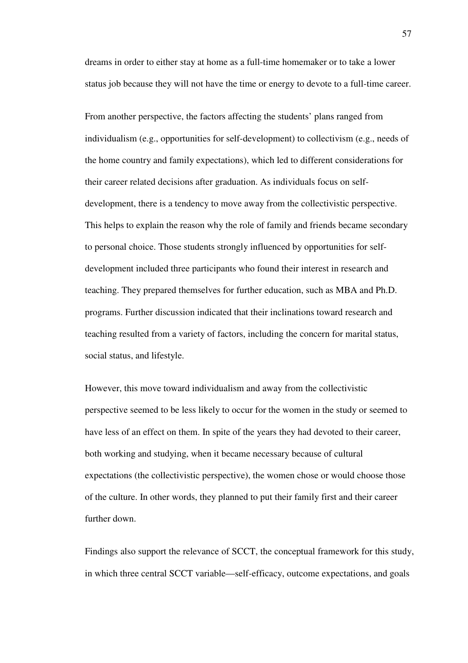dreams in order to either stay at home as a full-time homemaker or to take a lower status job because they will not have the time or energy to devote to a full-time career.

From another perspective, the factors affecting the students' plans ranged from individualism (e.g., opportunities for self-development) to collectivism (e.g., needs of the home country and family expectations), which led to different considerations for their career related decisions after graduation. As individuals focus on selfdevelopment, there is a tendency to move away from the collectivistic perspective. This helps to explain the reason why the role of family and friends became secondary to personal choice. Those students strongly influenced by opportunities for selfdevelopment included three participants who found their interest in research and teaching. They prepared themselves for further education, such as MBA and Ph.D. programs. Further discussion indicated that their inclinations toward research and teaching resulted from a variety of factors, including the concern for marital status, social status, and lifestyle.

However, this move toward individualism and away from the collectivistic perspective seemed to be less likely to occur for the women in the study or seemed to have less of an effect on them. In spite of the years they had devoted to their career, both working and studying, when it became necessary because of cultural expectations (the collectivistic perspective), the women chose or would choose those of the culture. In other words, they planned to put their family first and their career further down.

Findings also support the relevance of SCCT, the conceptual framework for this study, in which three central SCCT variable—self-efficacy, outcome expectations, and goals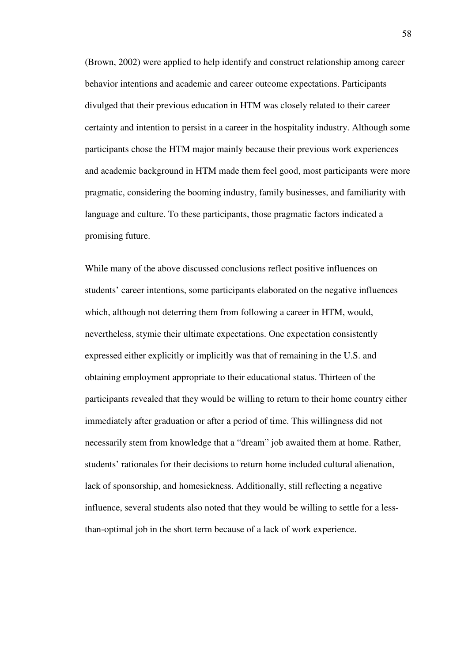(Brown, 2002) were applied to help identify and construct relationship among career behavior intentions and academic and career outcome expectations. Participants divulged that their previous education in HTM was closely related to their career certainty and intention to persist in a career in the hospitality industry. Although some participants chose the HTM major mainly because their previous work experiences and academic background in HTM made them feel good, most participants were more pragmatic, considering the booming industry, family businesses, and familiarity with language and culture. To these participants, those pragmatic factors indicated a promising future.

While many of the above discussed conclusions reflect positive influences on students' career intentions, some participants elaborated on the negative influences which, although not deterring them from following a career in HTM, would, nevertheless, stymie their ultimate expectations. One expectation consistently expressed either explicitly or implicitly was that of remaining in the U.S. and obtaining employment appropriate to their educational status. Thirteen of the participants revealed that they would be willing to return to their home country either immediately after graduation or after a period of time. This willingness did not necessarily stem from knowledge that a "dream" job awaited them at home. Rather, students' rationales for their decisions to return home included cultural alienation, lack of sponsorship, and homesickness. Additionally, still reflecting a negative influence, several students also noted that they would be willing to settle for a lessthan-optimal job in the short term because of a lack of work experience.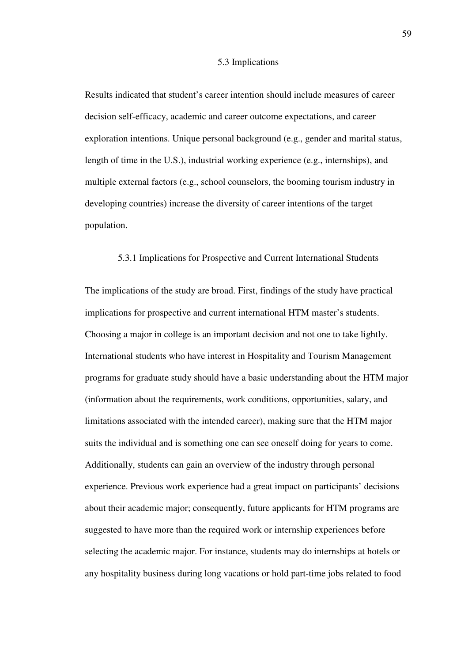#### 5.3 Implications

Results indicated that student's career intention should include measures of career decision self-efficacy, academic and career outcome expectations, and career exploration intentions. Unique personal background (e.g., gender and marital status, length of time in the U.S.), industrial working experience (e.g., internships), and multiple external factors (e.g., school counselors, the booming tourism industry in developing countries) increase the diversity of career intentions of the target population.

### 5.3.1 Implications for Prospective and Current International Students

The implications of the study are broad. First, findings of the study have practical implications for prospective and current international HTM master's students. Choosing a major in college is an important decision and not one to take lightly. International students who have interest in Hospitality and Tourism Management programs for graduate study should have a basic understanding about the HTM major (information about the requirements, work conditions, opportunities, salary, and limitations associated with the intended career), making sure that the HTM major suits the individual and is something one can see oneself doing for years to come. Additionally, students can gain an overview of the industry through personal experience. Previous work experience had a great impact on participants' decisions about their academic major; consequently, future applicants for HTM programs are suggested to have more than the required work or internship experiences before selecting the academic major. For instance, students may do internships at hotels or any hospitality business during long vacations or hold part-time jobs related to food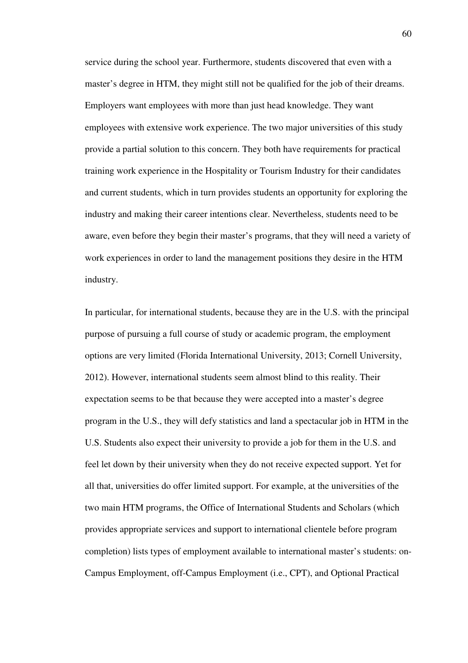service during the school year. Furthermore, students discovered that even with a master's degree in HTM, they might still not be qualified for the job of their dreams. Employers want employees with more than just head knowledge. They want employees with extensive work experience. The two major universities of this study provide a partial solution to this concern. They both have requirements for practical training work experience in the Hospitality or Tourism Industry for their candidates and current students, which in turn provides students an opportunity for exploring the industry and making their career intentions clear. Nevertheless, students need to be aware, even before they begin their master's programs, that they will need a variety of work experiences in order to land the management positions they desire in the HTM industry.

In particular, for international students, because they are in the U.S. with the principal purpose of pursuing a full course of study or academic program, the employment options are very limited (Florida International University, 2013; Cornell University, 2012). However, international students seem almost blind to this reality. Their expectation seems to be that because they were accepted into a master's degree program in the U.S., they will defy statistics and land a spectacular job in HTM in the U.S. Students also expect their university to provide a job for them in the U.S. and feel let down by their university when they do not receive expected support. Yet for all that, universities do offer limited support. For example, at the universities of the two main HTM programs, the Office of International Students and Scholars (which provides appropriate services and support to international clientele before program completion) lists types of employment available to international master's students: on-Campus Employment, off-Campus Employment (i.e., CPT), and Optional Practical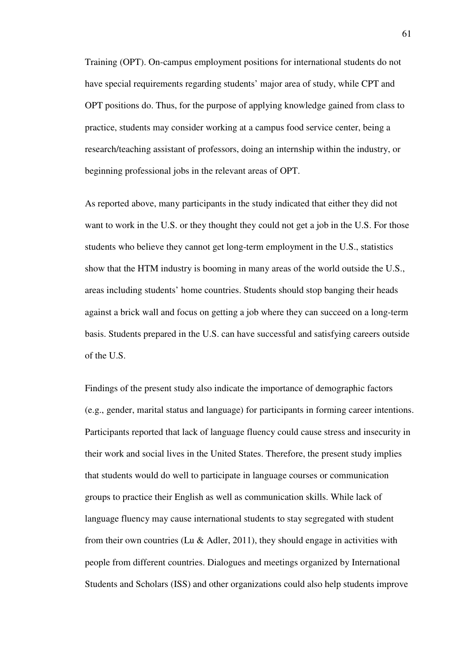Training (OPT). On-campus employment positions for international students do not have special requirements regarding students' major area of study, while CPT and OPT positions do. Thus, for the purpose of applying knowledge gained from class to practice, students may consider working at a campus food service center, being a research/teaching assistant of professors, doing an internship within the industry, or beginning professional jobs in the relevant areas of OPT.

As reported above, many participants in the study indicated that either they did not want to work in the U.S. or they thought they could not get a job in the U.S. For those students who believe they cannot get long-term employment in the U.S., statistics show that the HTM industry is booming in many areas of the world outside the U.S., areas including students' home countries. Students should stop banging their heads against a brick wall and focus on getting a job where they can succeed on a long-term basis. Students prepared in the U.S. can have successful and satisfying careers outside of the U.S.

Findings of the present study also indicate the importance of demographic factors (e.g., gender, marital status and language) for participants in forming career intentions. Participants reported that lack of language fluency could cause stress and insecurity in their work and social lives in the United States. Therefore, the present study implies that students would do well to participate in language courses or communication groups to practice their English as well as communication skills. While lack of language fluency may cause international students to stay segregated with student from their own countries (Lu & Adler, 2011), they should engage in activities with people from different countries. Dialogues and meetings organized by International Students and Scholars (ISS) and other organizations could also help students improve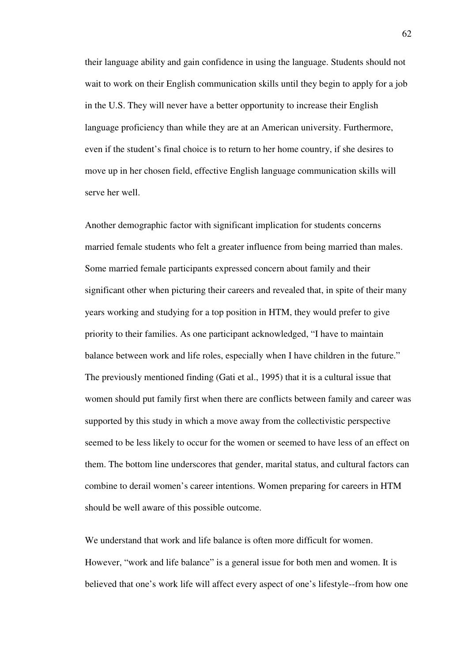their language ability and gain confidence in using the language. Students should not wait to work on their English communication skills until they begin to apply for a job in the U.S. They will never have a better opportunity to increase their English language proficiency than while they are at an American university. Furthermore, even if the student's final choice is to return to her home country, if she desires to move up in her chosen field, effective English language communication skills will serve her well.

Another demographic factor with significant implication for students concerns married female students who felt a greater influence from being married than males. Some married female participants expressed concern about family and their significant other when picturing their careers and revealed that, in spite of their many years working and studying for a top position in HTM, they would prefer to give priority to their families. As one participant acknowledged, "I have to maintain balance between work and life roles, especially when I have children in the future." The previously mentioned finding (Gati et al., 1995) that it is a cultural issue that women should put family first when there are conflicts between family and career was supported by this study in which a move away from the collectivistic perspective seemed to be less likely to occur for the women or seemed to have less of an effect on them. The bottom line underscores that gender, marital status, and cultural factors can combine to derail women's career intentions. Women preparing for careers in HTM should be well aware of this possible outcome.

We understand that work and life balance is often more difficult for women. However, "work and life balance" is a general issue for both men and women. It is believed that one's work life will affect every aspect of one's lifestyle--from how one

62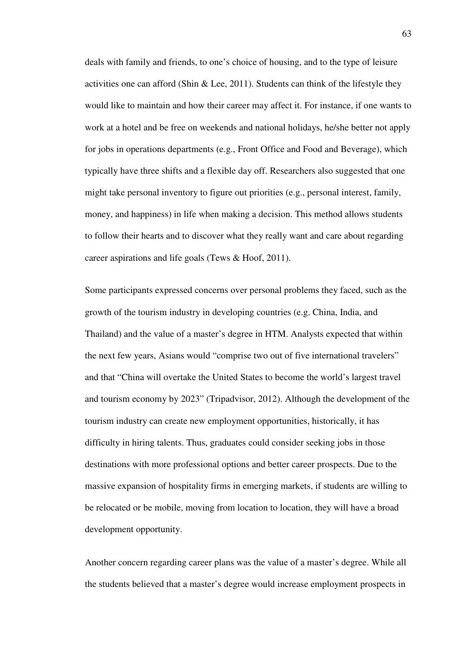deals with family and friends, to one's choice of housing, and to the type of leisure activities one can afford (Shin & Lee, 2011). Students can think of the lifestyle they would like to maintain and how their career may affect it. For instance, if one wants to work at a hotel and be free on weekends and national holidays, he/she better not apply for jobs in operations departments (e.g., Front Office and Food and Beverage), which typically have three shifts and a flexible day off. Researchers also suggested that one might take personal inventory to figure out priorities (e.g., personal interest, family, money, and happiness) in life when making a decision. This method allows students to follow their hearts and to discover what they really want and care about regarding career aspirations and life goals (Tews & Hoof, 2011).

Some participants expressed concerns over personal problems they faced, such as the growth of the tourism industry in developing countries (e.g. China, India, and Thailand) and the value of a master's degree in HTM. Analysts expected that within the next few years, Asians would "comprise two out of five international travelers" and that "China will overtake the United States to become the world's largest travel and tourism economy by 2023" (Tripadvisor, 2012). Although the development of the tourism industry can create new employment opportunities, historically, it has difficulty in hiring talents. Thus, graduates could consider seeking jobs in those destinations with more professional options and better career prospects. Due to the massive expansion of hospitality firms in emerging markets, if students are willing to be relocated or be mobile, moving from location to location, they will have a broad development opportunity.

Another concern regarding career plans was the value of a master's degree. While all the students believed that a master's degree would increase employment prospects in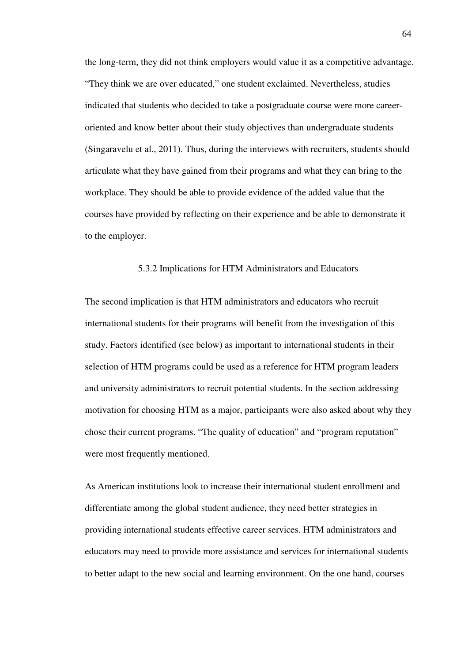the long-term, they did not think employers would value it as a competitive advantage. "They think we are over educated," one student exclaimed. Nevertheless, studies indicated that students who decided to take a postgraduate course were more careeroriented and know better about their study objectives than undergraduate students (Singaravelu et al., 2011). Thus, during the interviews with recruiters, students should articulate what they have gained from their programs and what they can bring to the workplace. They should be able to provide evidence of the added value that the courses have provided by reflecting on their experience and be able to demonstrate it to the employer.

## 5.3.2 Implications for HTM Administrators and Educators

The second implication is that HTM administrators and educators who recruit international students for their programs will benefit from the investigation of this study. Factors identified (see below) as important to international students in their selection of HTM programs could be used as a reference for HTM program leaders and university administrators to recruit potential students. In the section addressing motivation for choosing HTM as a major, participants were also asked about why they chose their current programs. "The quality of education" and "program reputation" were most frequently mentioned.

As American institutions look to increase their international student enrollment and differentiate among the global student audience, they need better strategies in providing international students effective career services. HTM administrators and educators may need to provide more assistance and services for international students to better adapt to the new social and learning environment. On the one hand, courses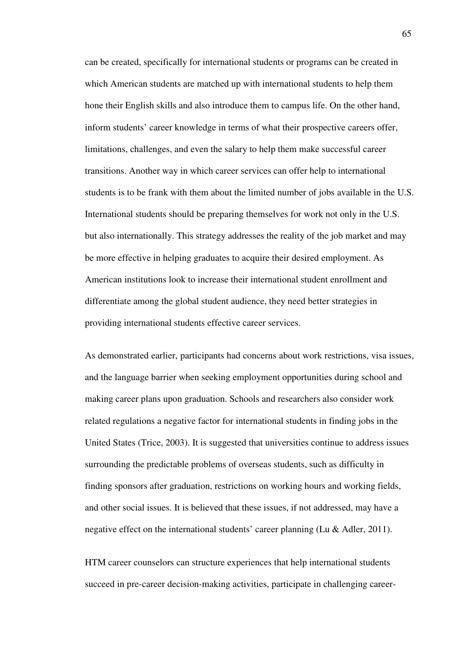can be created, specifically for international students or programs can be created in which American students are matched up with international students to help them hone their English skills and also introduce them to campus life. On the other hand, inform students' career knowledge in terms of what their prospective careers offer, limitations, challenges, and even the salary to help them make successful career transitions. Another way in which career services can offer help to international students is to be frank with them about the limited number of jobs available in the U.S. International students should be preparing themselves for work not only in the U.S. but also internationally. This strategy addresses the reality of the job market and may be more effective in helping graduates to acquire their desired employment. As American institutions look to increase their international student enrollment and differentiate among the global student audience, they need better strategies in providing international students effective career services.

As demonstrated earlier, participants had concerns about work restrictions, visa issues, and the language barrier when seeking employment opportunities during school and making career plans upon graduation. Schools and researchers also consider work related regulations a negative factor for international students in finding jobs in the United States (Trice, 2003). It is suggested that universities continue to address issues surrounding the predictable problems of overseas students, such as difficulty in finding sponsors after graduation, restrictions on working hours and working fields, and other social issues. It is believed that these issues, if not addressed, may have a negative effect on the international students' career planning (Lu & Adler, 2011).

HTM career counselors can structure experiences that help international students succeed in pre-career decision-making activities, participate in challenging career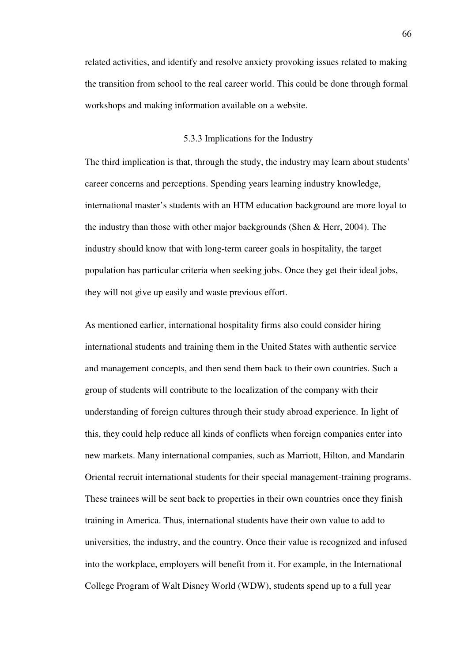related activities, and identify and resolve anxiety provoking issues related to making the transition from school to the real career world. This could be done through formal workshops and making information available on a website.

## 5.3.3 Implications for the Industry

The third implication is that, through the study, the industry may learn about students' career concerns and perceptions. Spending years learning industry knowledge, international master's students with an HTM education background are more loyal to the industry than those with other major backgrounds (Shen & Herr, 2004). The industry should know that with long-term career goals in hospitality, the target population has particular criteria when seeking jobs. Once they get their ideal jobs, they will not give up easily and waste previous effort.

As mentioned earlier, international hospitality firms also could consider hiring international students and training them in the United States with authentic service and management concepts, and then send them back to their own countries. Such a group of students will contribute to the localization of the company with their understanding of foreign cultures through their study abroad experience. In light of this, they could help reduce all kinds of conflicts when foreign companies enter into new markets. Many international companies, such as Marriott, Hilton, and Mandarin Oriental recruit international students for their special management-training programs. These trainees will be sent back to properties in their own countries once they finish training in America. Thus, international students have their own value to add to universities, the industry, and the country. Once their value is recognized and infused into the workplace, employers will benefit from it. For example, in the International College Program of Walt Disney World (WDW), students spend up to a full year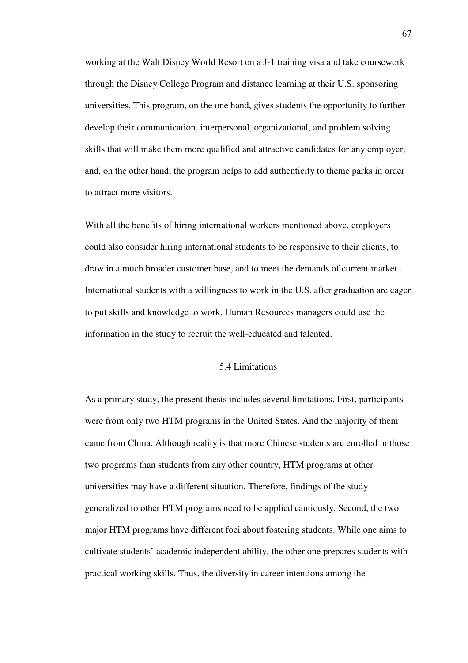working at the Walt Disney World Resort on a J-1 training visa and take coursework through the Disney College Program and distance learning at their U.S. sponsoring universities. This program, on the one hand, gives students the opportunity to further develop their communication, interpersonal, organizational, and problem solving skills that will make them more qualified and attractive candidates for any employer, and, on the other hand, the program helps to add authenticity to theme parks in order to attract more visitors.

With all the benefits of hiring international workers mentioned above, employers could also consider hiring international students to be responsive to their clients, to draw in a much broader customer base, and to meet the demands of current market . International students with a willingness to work in the U.S. after graduation are eager to put skills and knowledge to work. Human Resources managers could use the information in the study to recruit the well-educated and talented.

## 5.4 Limitations

As a primary study, the present thesis includes several limitations. First, participants were from only two HTM programs in the United States. And the majority of them came from China. Although reality is that more Chinese students are enrolled in those two programs than students from any other country, HTM programs at other universities may have a different situation. Therefore, findings of the study generalized to other HTM programs need to be applied cautiously. Second, the two major HTM programs have different foci about fostering students. While one aims to cultivate students' academic independent ability, the other one prepares students with practical working skills. Thus, the diversity in career intentions among the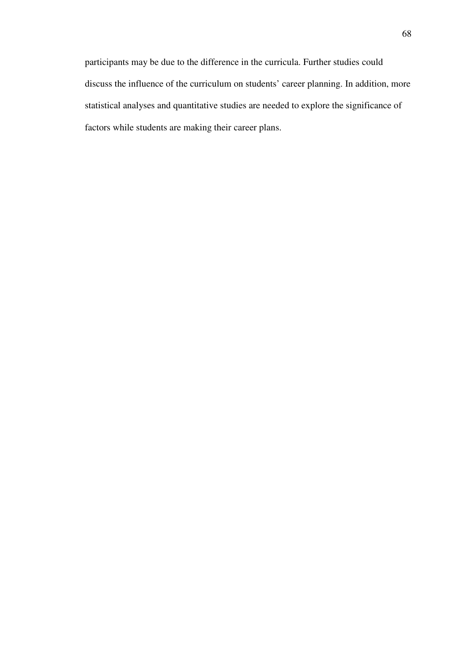participants may be due to the difference in the curricula. Further studies could discuss the influence of the curriculum on students' career planning. In addition, more statistical analyses and quantitative studies are needed to explore the significance of factors while students are making their career plans.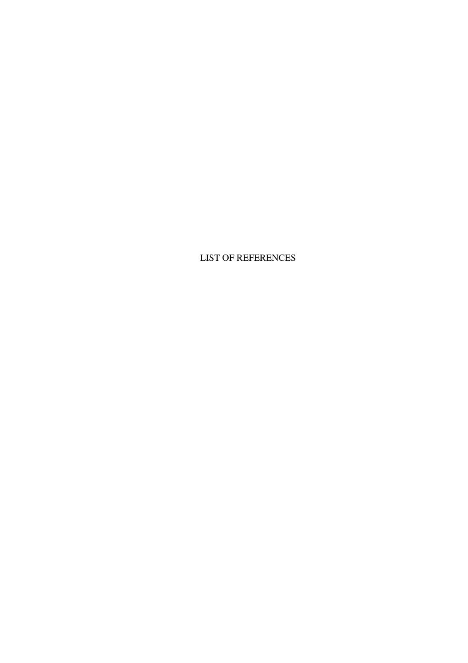LIST OF REFERENCES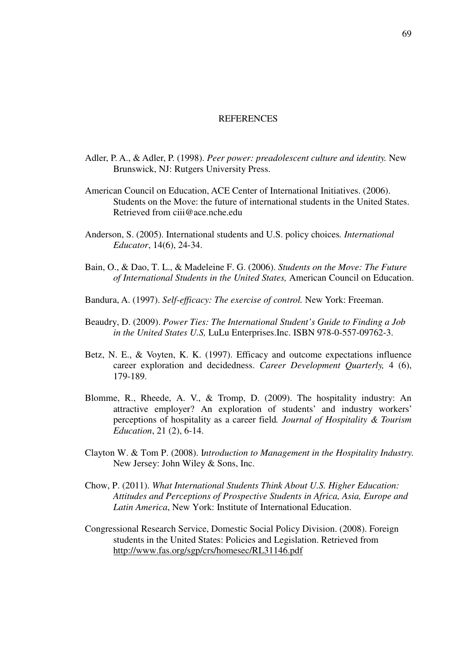## **REFERENCES**

- Adler, P. A., & Adler, P. (1998). *Peer power: preadolescent culture and identity.* New Brunswick, NJ: Rutgers University Press.
- American Council on Education, ACE Center of International Initiatives. (2006). Students on the Move: the future of international students in the United States. Retrieved from ciii@ace.nche.edu
- Anderson, S. (2005). International students and U.S. policy choices*. International Educator*, 14(6), 24-34.
- Bain, O., & Dao, T. L., & Madeleine F. G. (2006). *Students on the Move: The Future of International Students in the United States,* American Council on Education.
- Bandura, A. (1997). *Self-efficacy: The exercise of control.* New York: Freeman.
- Beaudry, D. (2009). *Power Ties: The International Student's Guide to Finding a Job in the United States U.S,* LuLu Enterprises.Inc. ISBN 978-0-557-09762-3.
- Betz, N. E., & Voyten, K. K. (1997). Efficacy and outcome expectations influence career exploration and decidedness. *Career Development Quarterly,* 4 (6), 179-189.
- Blomme, R., Rheede, A. V., & Tromp, D. (2009). The hospitality industry: An attractive employer? An exploration of students' and industry workers' perceptions of hospitality as a career field*. Journal of Hospitality & Tourism Education*, 21 (2), 6-14.
- Clayton W. & Tom P. (2008). I*ntroduction to Management in the Hospitality Industry.* New Jersey: John Wiley & Sons, Inc.
- Chow, P. (2011). *What International Students Think About U.S. Higher Education: Attitudes and Perceptions of Prospective Students in Africa, Asia, Europe and Latin America*, New York: Institute of International Education.
- Congressional Research Service, Domestic Social Policy Division. (2008). Foreign students in the United States: Policies and Legislation. Retrieved from http://www.fas.org/sgp/crs/homesec/RL31146.pdf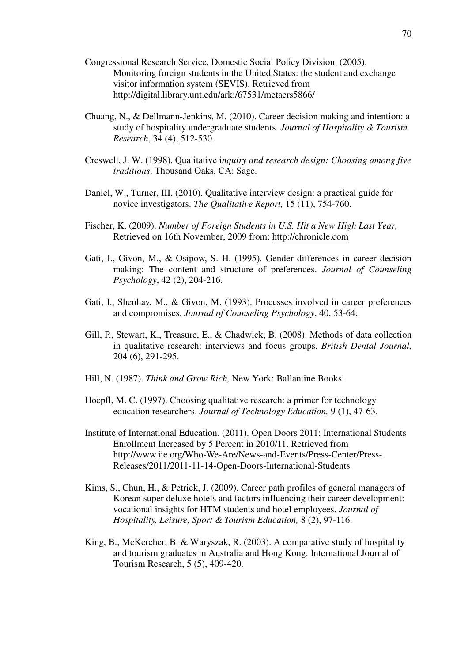- Congressional Research Service, Domestic Social Policy Division. (2005). Monitoring foreign students in the United States: the student and exchange visitor information system (SEVIS). Retrieved from http://digital.library.unt.edu/ark:/67531/metacrs5866/
- Chuang, N., & Dellmann-Jenkins, M. (2010). Career decision making and intention: a study of hospitality undergraduate students. *Journal of Hospitality & Tourism Research*, 34 (4), 512-530.
- Creswell, J. W. (1998). Qualitative i*nquiry and research design: Choosing among five traditions*. Thousand Oaks, CA: Sage.
- Daniel, W., Turner, III. (2010). Qualitative interview design: a practical guide for novice investigators. *The Qualitative Report,* 15 (11), 754-760.
- Fischer, K. (2009). *Number of Foreign Students in U.S. Hit a New High Last Year,* Retrieved on 16th November, 2009 from: http://chronicle.com
- Gati, I., Givon, M., & Osipow, S. H. (1995). Gender differences in career decision making: The content and structure of preferences. *Journal of Counseling Psychology*, 42 (2), 204-216.
- Gati, I., Shenhav, M., & Givon, M. (1993). Processes involved in career preferences and compromises. *Journal of Counseling Psychology*, 40, 53-64.
- Gill, P., Stewart, K., Treasure, E., & Chadwick, B. (2008). Methods of data collection in qualitative research: interviews and focus groups. *British Dental Journal*, 204 (6), 291-295.
- Hill, N. (1987). *Think and Grow Rich,* New York: Ballantine Books.
- Hoepfl, M. C. (1997). Choosing qualitative research: a primer for technology education researchers. *Journal of Technology Education,* 9 (1), 47-63.
- Institute of International Education. (2011). Open Doors 2011: International Students Enrollment Increased by 5 Percent in 2010/11. Retrieved from http://www.iie.org/Who-We-Are/News-and-Events/Press-Center/Press-Releases/2011/2011-11-14-Open-Doors-International-Students
- Kims, S., Chun, H., & Petrick, J. (2009). Career path profiles of general managers of Korean super deluxe hotels and factors influencing their career development: vocational insights for HTM students and hotel employees. *Journal of Hospitality, Leisure, Sport & Tourism Education,* 8 (2), 97-116.
- King, B., McKercher, B. & Waryszak, R. (2003). A comparative study of hospitality and tourism graduates in Australia and Hong Kong. International Journal of Tourism Research, 5 (5), 409-420.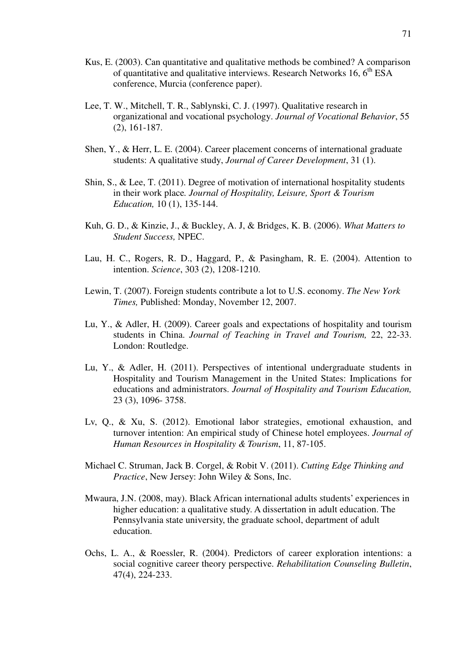- Kus, E. (2003). Can quantitative and qualitative methods be combined? A comparison of quantitative and qualitative interviews. Research Networks 16,  $6<sup>th</sup> ESA$ conference, Murcia (conference paper).
- Lee, T. W., Mitchell, T. R., Sablynski, C. J. (1997). Qualitative research in organizational and vocational psychology. *Journal of Vocational Behavior*, 55 (2), 161-187.
- Shen, Y., & Herr, L. E. (2004). Career placement concerns of international graduate students: A qualitative study, *Journal of Career Development*, 31 (1).
- Shin, S., & Lee, T. (2011). Degree of motivation of international hospitality students in their work place*. Journal of Hospitality, Leisure, Sport & Tourism Education,* 10 (1), 135-144.
- Kuh, G. D., & Kinzie, J., & Buckley, A. J, & Bridges, K. B. (2006). *What Matters to Student Success,* NPEC.
- Lau, H. C., Rogers, R. D., Haggard, P., & Pasingham, R. E. (2004). Attention to intention. *Science*, 303 (2), 1208-1210.
- Lewin, T. (2007). Foreign students contribute a lot to U.S. economy. *The New York Times,* Published: Monday, November 12, 2007.
- Lu, Y., & Adler, H. (2009). Career goals and expectations of hospitality and tourism students in China. *Journal of Teaching in Travel and Tourism,* 22, 22-33. London: Routledge.
- Lu, Y., & Adler, H. (2011). Perspectives of intentional undergraduate students in Hospitality and Tourism Management in the United States: Implications for educations and administrators. *Journal of Hospitality and Tourism Education,*  23 (3), 1096- 3758.
- Lv, Q., & Xu, S. (2012). Emotional labor strategies, emotional exhaustion, and turnover intention: An empirical study of Chinese hotel employees. *Journal of Human Resources in Hospitality & Tourism*, 11, 87-105.
- Michael C. Struman, Jack B. Corgel, & Robit V. (2011). *Cutting Edge Thinking and Practice*, New Jersey: John Wiley & Sons, Inc.
- Mwaura, J.N. (2008, may). Black African international adults students' experiences in higher education: a qualitative study. A dissertation in adult education. The Pennsylvania state university, the graduate school, department of adult education.
- Ochs, L. A., & Roessler, R. (2004). Predictors of career exploration intentions: a social cognitive career theory perspective. *Rehabilitation Counseling Bulletin*, 47(4), 224-233.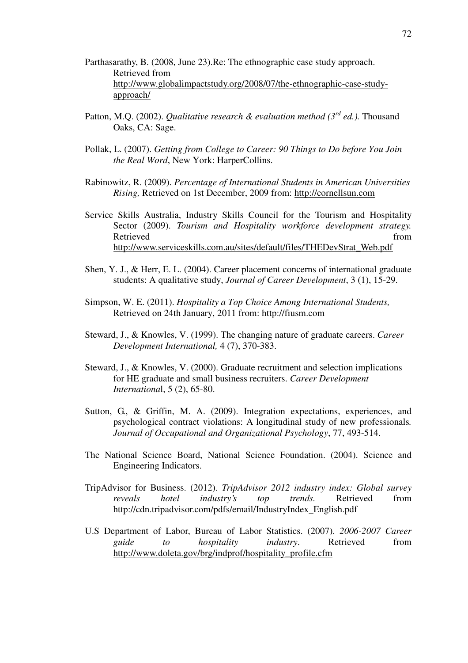- Parthasarathy, B. (2008, June 23).Re: The ethnographic case study approach. Retrieved from http://www.globalimpactstudy.org/2008/07/the-ethnographic-case-studyapproach/
- Patton, M.Q. (2002). *Qualitative research & evaluation method (3<sup>rd</sup> ed.)*. Thousand Oaks, CA: Sage.
- Pollak, L. (2007). *Getting from College to Career: 90 Things to Do before You Join the Real Word*, New York: HarperCollins.
- Rabinowitz, R. (2009). *Percentage of International Students in American Universities Rising,* Retrieved on 1st December, 2009 from: http://cornellsun.com
- Service Skills Australia, Industry Skills Council for the Tourism and Hospitality Sector (2009). *Tourism and Hospitality workforce development strategy.*  Retrieved from the set of the set of the set of the set of the set of the set of the set of the set of the set of the set of the set of the set of the set of the set of the set of the set of the set of the set of the set o http://www.serviceskills.com.au/sites/default/files/THEDevStrat\_Web.pdf
- Shen, Y. J., & Herr, E. L. (2004). Career placement concerns of international graduate students: A qualitative study, *Journal of Career Development*, 3 (1), 15-29.
- Simpson, W. E. (2011). *Hospitality a Top Choice Among International Students,* Retrieved on 24th January, 2011 from: http://fiusm.com
- Steward, J., & Knowles, V. (1999). The changing nature of graduate careers. *Career Development International,* 4 (7), 370-383.
- Steward, J., & Knowles, V. (2000). Graduate recruitment and selection implications for HE graduate and small business recruiters. *Career Development Internationa*l, 5 (2), 65-80.
- Sutton, G., & Griffin, M. A. (2009). Integration expectations, experiences, and psychological contract violations: A longitudinal study of new professionals*. Journal of Occupational and Organizational Psychology*, 77, 493-514.
- The National Science Board, National Science Foundation. (2004). Science and Engineering Indicators.
- TripAdvisor for Business. (2012). *TripAdvisor 2012 industry index: Global survey reveals hotel industry's top trends.* Retrieved from http://cdn.tripadvisor.com/pdfs/email/IndustryIndex\_English.pdf
- U.S Department of Labor, Bureau of Labor Statistics. (2007). *2006-2007 Career guide to hospitality industry*. Retrieved from http://www.doleta.gov/brg/indprof/hospitality\_profile.cfm